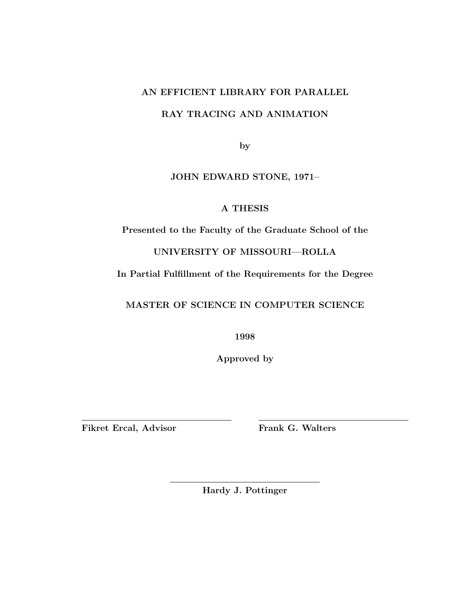# **AN EFFICIENT LIBRARY FOR PARALLEL**

# **RAY TRACING AND ANIMATION**

**by**

# **JOHN EDWARD STONE, 1971–**

# **A THESIS**

**Presented to the Faculty of the Graduate School of the**

**UNIVERSITY OF MISSOURI—ROLLA**

**In Partial Fulfillment of the Requirements for the Degree**

**MASTER OF SCIENCE IN COMPUTER SCIENCE**

**1998**

**Approved by**

Fikret Ercal, Advisor Frank G. Walters

**Hardy J. Pottinger**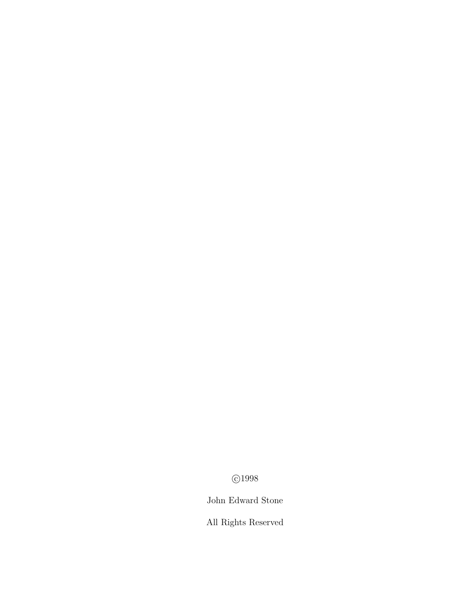C 1998

# John Edward Stone

All Rights Reserved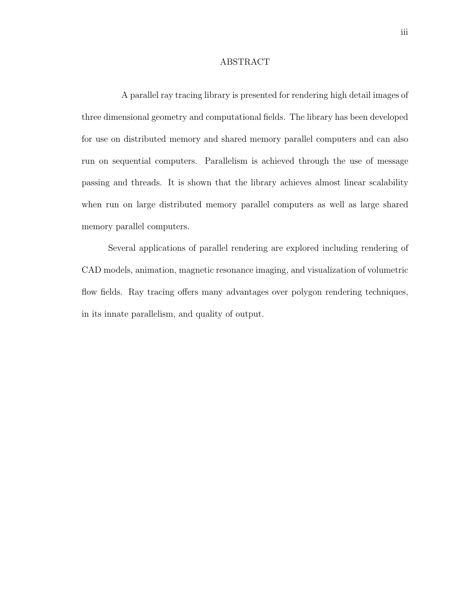### ABSTRACT

A parallel ray tracing library is presented for rendering high detail images of three dimensional geometry and computational fields. The library has been developed for use on distributed memory and shared memory parallel computers and can also run on sequential computers. Parallelism is achieved through the use of message passing and threads. It is shown that the library achieves almost linear scalability when run on large distributed memory parallel computers as well as large shared memory parallel computers.

Several applications of parallel rendering are explored including rendering of CAD models, animation, magnetic resonance imaging, and visualization of volumetric flow fields. Ray tracing offers many advantages over polygon rendering techniques, in its innate parallelism, and quality of output.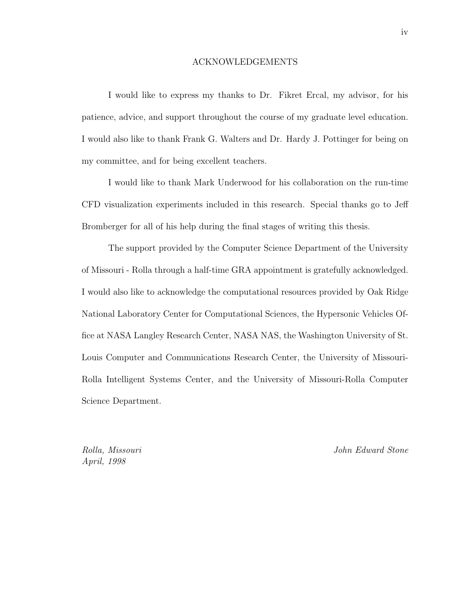### ACKNOWLEDGEMENTS

I would like to express my thanks to Dr. Fikret Ercal, my advisor, for his patience, advice, and support throughout the course of my graduate level education. I would also like to thank Frank G. Walters and Dr. Hardy J. Pottinger for being on my committee, and for being excellent teachers.

I would like to thank Mark Underwood for his collaboration on the run-time CFD visualization experiments included in this research. Special thanks go to Jeff Bromberger for all of his help during the final stages of writing this thesis.

The support provided by the Computer Science Department of the University of Missouri - Rolla through a half-time GRA appointment is gratefully acknowledged. I would also like to acknowledge the computational resources provided by Oak Ridge National Laboratory Center for Computational Sciences, the Hypersonic Vehicles Office at NASA Langley Research Center, NASA NAS, the Washington University of St. Louis Computer and Communications Research Center, the University of Missouri-Rolla Intelligent Systems Center, and the University of Missouri-Rolla Computer Science Department.

April, 1998

Rolla, Missouri John Edward Stone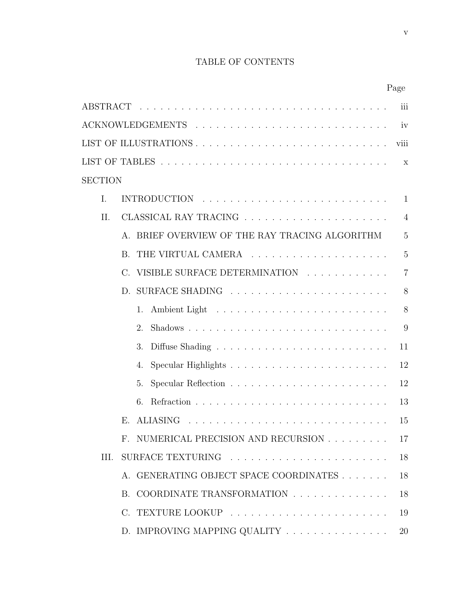# TABLE OF CONTENTS

|                |             |                                                                          | Page           |  |
|----------------|-------------|--------------------------------------------------------------------------|----------------|--|
|                |             |                                                                          | iii            |  |
|                |             |                                                                          | iv             |  |
|                |             |                                                                          | viii           |  |
|                |             |                                                                          | $\mathbf{X}$   |  |
| <b>SECTION</b> |             |                                                                          |                |  |
| I.             |             |                                                                          | 1              |  |
| II.            |             |                                                                          | $\overline{4}$ |  |
|                |             | A. BRIEF OVERVIEW OF THE RAY TRACING ALGORITHM                           | $\overline{5}$ |  |
|                | $B_{\cdot}$ |                                                                          | $\overline{5}$ |  |
|                | $C_{\cdot}$ | VISIBLE SURFACE DETERMINATION                                            | $\overline{7}$ |  |
|                |             |                                                                          | 8              |  |
|                |             | 1.                                                                       | 8              |  |
|                |             | $\mathfrak{D}$                                                           | 9              |  |
|                |             | 3.                                                                       | 11             |  |
|                |             | 4.                                                                       | 12             |  |
|                |             | 5.                                                                       | 12             |  |
|                |             | 6.                                                                       | 13             |  |
|                |             | E. ALIASING                                                              | 15             |  |
|                |             | F. NUMERICAL PRECISION AND RECURSION                                     | 17             |  |
| III.           |             |                                                                          | 18             |  |
|                |             | A. GENERATING OBJECT SPACE COORDINATES                                   | 18             |  |
|                |             | B. COORDINATE TRANSFORMATION                                             | 18             |  |
|                |             |                                                                          | 19             |  |
|                |             | D. IMPROVING MAPPING QUALITY $\ldots \ldots \ldots \ldots \ldots \ldots$ | 20             |  |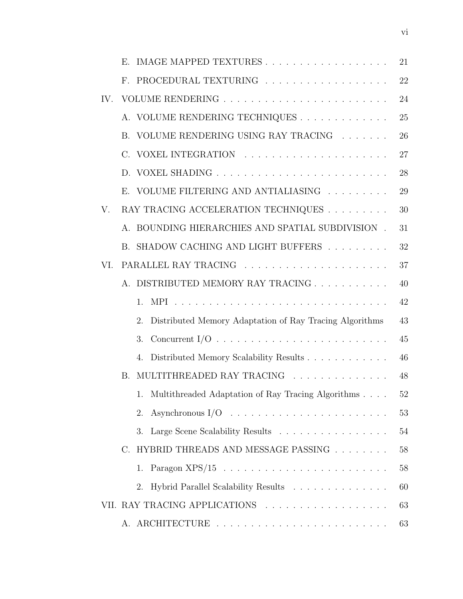|     | E. IMAGE MAPPED TEXTURES                                                              | 21 |
|-----|---------------------------------------------------------------------------------------|----|
|     | F. PROCEDURAL TEXTURING                                                               | 22 |
| IV. |                                                                                       | 24 |
|     | A. VOLUME RENDERING TECHNIQUES                                                        | 25 |
|     | B. VOLUME RENDERING USING RAY TRACING                                                 | 26 |
|     |                                                                                       | 27 |
|     |                                                                                       | 28 |
|     | E. VOLUME FILTERING AND ANTIALIASING                                                  | 29 |
| V.  | RAY TRACING ACCELERATION TECHNIQUES $\ldots \ldots \ldots$                            | 30 |
|     | A. BOUNDING HIERARCHIES AND SPATIAL SUBDIVISION.                                      | 31 |
|     | B. SHADOW CACHING AND LIGHT BUFFERS                                                   | 32 |
| VI. |                                                                                       | 37 |
|     | A. DISTRIBUTED MEMORY RAY TRACING                                                     | 40 |
|     | $1_{-}$                                                                               | 42 |
|     | Distributed Memory Adaptation of Ray Tracing Algorithms<br>2.                         | 43 |
|     | Concurrent I/O $\ldots \ldots \ldots \ldots \ldots \ldots \ldots \ldots \ldots$<br>3. | 45 |
|     | 4. Distributed Memory Scalability Results                                             | 46 |
|     | B. MULTITHREADED RAY TRACING                                                          | 48 |
|     | 1. Multithreaded Adaptation of Ray Tracing Algorithms                                 | 52 |
|     | Asynchronous $I/O \dots \dots \dots \dots \dots \dots \dots \dots \dots$<br>2.        | 53 |
|     | Large Scene Scalability Results<br>3.                                                 | 54 |
|     | C. HYBRID THREADS AND MESSAGE PASSING                                                 | 58 |
|     | 1.                                                                                    | 58 |
|     | Hybrid Parallel Scalability Results<br>2.                                             | 60 |
|     | VII. RAY TRACING APPLICATIONS                                                         | 63 |
|     |                                                                                       | 63 |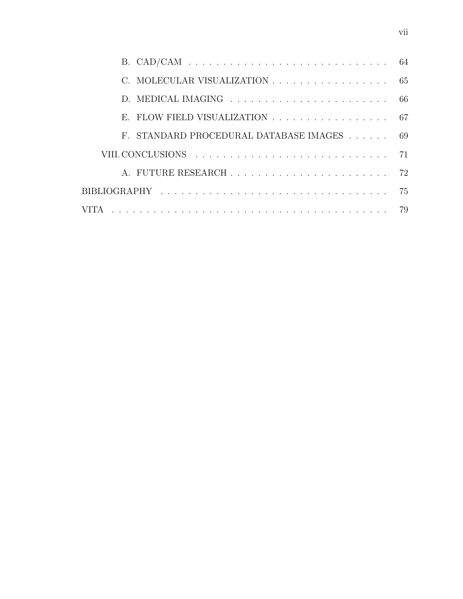| C. MOLECULAR VISUALIZATION 65                                              |  |
|----------------------------------------------------------------------------|--|
|                                                                            |  |
| E. FLOW FIELD VISUALIZATION $\ldots \ldots \ldots \ldots \ldots \ldots$ 67 |  |
| F. STANDARD PROCEDURAL DATABASE IMAGES 69                                  |  |
|                                                                            |  |
|                                                                            |  |
|                                                                            |  |
|                                                                            |  |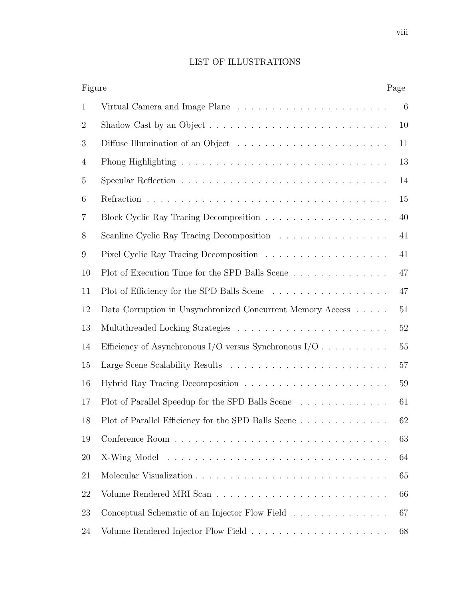# LIST OF ILLUSTRATIONS

| Figure         |                                                                                           | Page   |
|----------------|-------------------------------------------------------------------------------------------|--------|
| $\mathbf{1}$   |                                                                                           | 6      |
| $\overline{2}$ | Shadow Cast by an Object $\ldots \ldots \ldots \ldots \ldots \ldots \ldots \ldots \ldots$ | 10     |
| 3              |                                                                                           | 11     |
| 4              |                                                                                           | 13     |
| 5              |                                                                                           | 14     |
| 6              |                                                                                           | 15     |
| 7              |                                                                                           | 40     |
| 8              | Scanline Cyclic Ray Tracing Decomposition                                                 | 41     |
| 9              |                                                                                           | 41     |
| 10             | Plot of Execution Time for the SPD Balls Scene                                            | 47     |
| 11             |                                                                                           | 47     |
| 12             | Data Corruption in Unsynchronized Concurrent Memory Access                                | 51     |
| 13             |                                                                                           | $52\,$ |
| 14             | Efficiency of Asynchronous I/O versus Synchronous I/O                                     | 55     |
| 15             |                                                                                           | 57     |
| 16             |                                                                                           | 59     |
| 17             | Plot of Parallel Speedup for the SPD Balls Scene                                          | 61     |
| 18             | Plot of Parallel Efficiency for the SPD Balls Scene.                                      | 62     |
| 19             |                                                                                           | 63     |
| 20             |                                                                                           | 64     |
| 21             |                                                                                           | 65     |
| 22             |                                                                                           | 66     |
| 23             | Conceptual Schematic of an Injector Flow Field                                            | 67     |
| 24             |                                                                                           | 68     |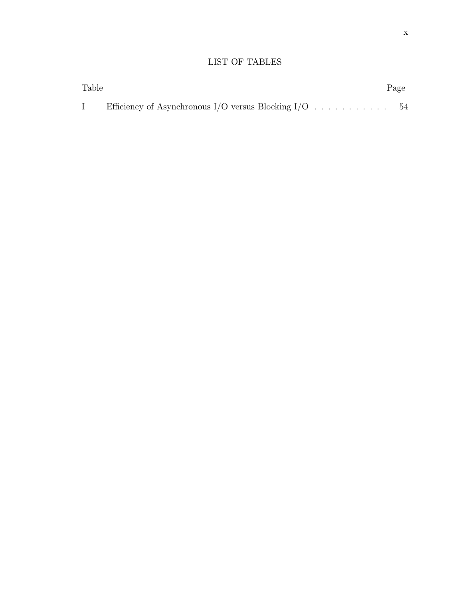# LIST OF TABLES

| Table |                                                       | Page |
|-------|-------------------------------------------------------|------|
|       | Efficiency of Asynchronous I/O versus Blocking I/O 54 |      |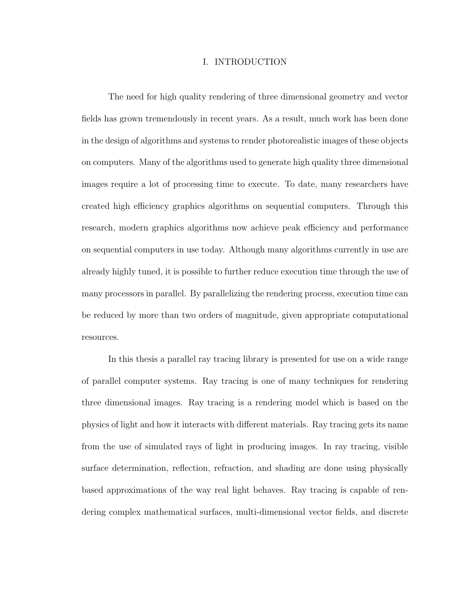# I. INTRODUCTION

The need for high quality rendering of three dimensional geometry and vector fields has grown tremendously in recent years. As a result, much work has been done in the design of algorithms and systems to render photorealistic images of these objects on computers. Many of the algorithms used to generate high quality three dimensional images require a lot of processing time to execute. To date, many researchers have created high efficiency graphics algorithms on sequential computers. Through this research, modern graphics algorithms now achieve peak efficiency and performance on sequential computers in use today. Although many algorithms currently in use are already highly tuned, it is possible to further reduce execution time through the use of many processors in parallel. By parallelizing the rendering process, execution time can be reduced by more than two orders of magnitude, given appropriate computational resources.

In this thesis a parallel ray tracing library is presented for use on a wide range of parallel computer systems. Ray tracing is one of many techniques for rendering three dimensional images. Ray tracing is a rendering model which is based on the physics of light and how it interacts with different materials. Ray tracing gets its name from the use of simulated rays of light in producing images. In ray tracing, visible surface determination, reflection, refraction, and shading are done using physically based approximations of the way real light behaves. Ray tracing is capable of rendering complex mathematical surfaces, multi-dimensional vector fields, and discrete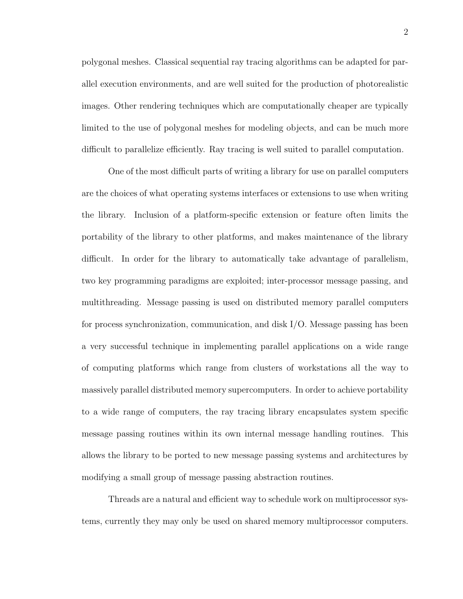polygonal meshes. Classical sequential ray tracing algorithms can be adapted for parallel execution environments, and are well suited for the production of photorealistic images. Other rendering techniques which are computationally cheaper are typically limited to the use of polygonal meshes for modeling objects, and can be much more difficult to parallelize efficiently. Ray tracing is well suited to parallel computation.

One of the most difficult parts of writing a library for use on parallel computers are the choices of what operating systems interfaces or extensions to use when writing the library. Inclusion of a platform-specific extension or feature often limits the portability of the library to other platforms, and makes maintenance of the library difficult. In order for the library to automatically take advantage of parallelism, two key programming paradigms are exploited; inter-processor message passing, and multithreading. Message passing is used on distributed memory parallel computers for process synchronization, communication, and disk I/O. Message passing has been a very successful technique in implementing parallel applications on a wide range of computing platforms which range from clusters of workstations all the way to massively parallel distributed memory supercomputers. In order to achieve portability to a wide range of computers, the ray tracing library encapsulates system specific message passing routines within its own internal message handling routines. This allows the library to be ported to new message passing systems and architectures by modifying a small group of message passing abstraction routines.

Threads are a natural and efficient way to schedule work on multiprocessor systems, currently they may only be used on shared memory multiprocessor computers.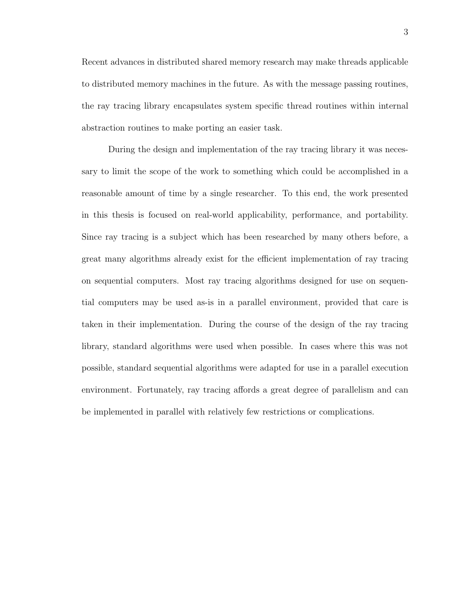Recent advances in distributed shared memory research may make threads applicable to distributed memory machines in the future. As with the message passing routines, the ray tracing library encapsulates system specific thread routines within internal abstraction routines to make porting an easier task.

During the design and implementation of the ray tracing library it was necessary to limit the scope of the work to something which could be accomplished in a reasonable amount of time by a single researcher. To this end, the work presented in this thesis is focused on real-world applicability, performance, and portability. Since ray tracing is a subject which has been researched by many others before, a great many algorithms already exist for the efficient implementation of ray tracing on sequential computers. Most ray tracing algorithms designed for use on sequential computers may be used as-is in a parallel environment, provided that care is taken in their implementation. During the course of the design of the ray tracing library, standard algorithms were used when possible. In cases where this was not possible, standard sequential algorithms were adapted for use in a parallel execution environment. Fortunately, ray tracing affords a great degree of parallelism and can be implemented in parallel with relatively few restrictions or complications.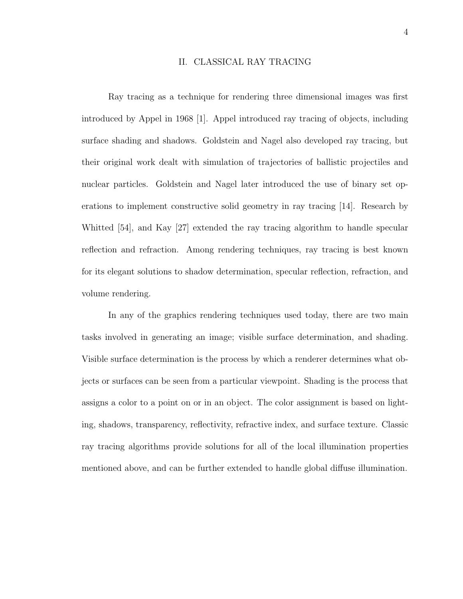# II. CLASSICAL RAY TRACING

Ray tracing as a technique for rendering three dimensional images was first introduced by Appel in 1968 [1]. Appel introduced ray tracing of objects, including surface shading and shadows. Goldstein and Nagel also developed ray tracing, but their original work dealt with simulation of trajectories of ballistic projectiles and nuclear particles. Goldstein and Nagel later introduced the use of binary set operations to implement constructive solid geometry in ray tracing [14]. Research by Whitted [54], and Kay [27] extended the ray tracing algorithm to handle specular reflection and refraction. Among rendering techniques, ray tracing is best known for its elegant solutions to shadow determination, specular reflection, refraction, and volume rendering.

In any of the graphics rendering techniques used today, there are two main tasks involved in generating an image; visible surface determination, and shading. Visible surface determination is the process by which a renderer determines what objects or surfaces can be seen from a particular viewpoint. Shading is the process that assigns a color to a point on or in an object. The color assignment is based on lighting, shadows, transparency, reflectivity, refractive index, and surface texture. Classic ray tracing algorithms provide solutions for all of the local illumination properties mentioned above, and can be further extended to handle global diffuse illumination.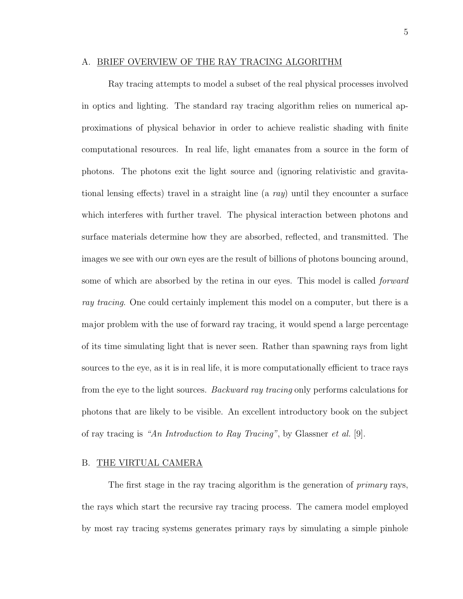### A. BRIEF OVERVIEW OF THE RAY TRACING ALGORITHM

Ray tracing attempts to model a subset of the real physical processes involved in optics and lighting. The standard ray tracing algorithm relies on numerical approximations of physical behavior in order to achieve realistic shading with finite computational resources. In real life, light emanates from a source in the form of photons. The photons exit the light source and (ignoring relativistic and gravitational lensing effects) travel in a straight line (a  $ray$ ) until they encounter a surface which interferes with further travel. The physical interaction between photons and surface materials determine how they are absorbed, reflected, and transmitted. The images we see with our own eyes are the result of billions of photons bouncing around, some of which are absorbed by the retina in our eyes. This model is called *forward* ray tracing. One could certainly implement this model on a computer, but there is a major problem with the use of forward ray tracing, it would spend a large percentage of its time simulating light that is never seen. Rather than spawning rays from light sources to the eye, as it is in real life, it is more computationally efficient to trace rays from the eye to the light sources. Backward ray tracing only performs calculations for photons that are likely to be visible. An excellent introductory book on the subject of ray tracing is "An Introduction to Ray Tracing", by Glassner et al. [9].

#### B. THE VIRTUAL CAMERA

The first stage in the ray tracing algorithm is the generation of *primary* rays, the rays which start the recursive ray tracing process. The camera model employed by most ray tracing systems generates primary rays by simulating a simple pinhole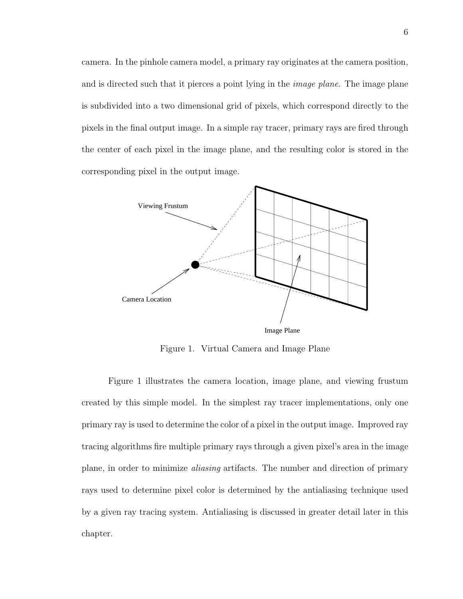camera. In the pinhole camera model, a primary ray originates at the camera position, and is directed such that it pierces a point lying in the *image plane*. The image plane is subdivided into a two dimensional grid of pixels, which correspond directly to the pixels in the final output image. In a simple ray tracer, primary rays are fired through the center of each pixel in the image plane, and the resulting color is stored in the corresponding pixel in the output image.



Figure 1. Virtual Camera and Image Plane

Figure 1 illustrates the camera location, image plane, and viewing frustum created by this simple model. In the simplest ray tracer implementations, only one primary ray is used to determine the color of a pixel in the output image. Improved ray tracing algorithms fire multiple primary rays through a given pixel's area in the image plane, in order to minimize aliasing artifacts. The number and direction of primary rays used to determine pixel color is determined by the antialiasing technique used by a given ray tracing system. Antialiasing is discussed in greater detail later in this chapter.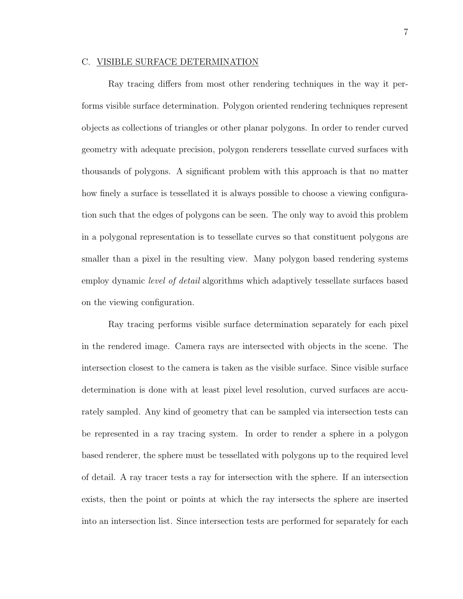### C. VISIBLE SURFACE DETERMINATION

Ray tracing differs from most other rendering techniques in the way it performs visible surface determination. Polygon oriented rendering techniques represent objects as collections of triangles or other planar polygons. In order to render curved geometry with adequate precision, polygon renderers tessellate curved surfaces with thousands of polygons. A significant problem with this approach is that no matter how finely a surface is tessellated it is always possible to choose a viewing configuration such that the edges of polygons can be seen. The only way to avoid this problem in a polygonal representation is to tessellate curves so that constituent polygons are smaller than a pixel in the resulting view. Many polygon based rendering systems employ dynamic *level of detail* algorithms which adaptively tessellate surfaces based on the viewing configuration.

Ray tracing performs visible surface determination separately for each pixel in the rendered image. Camera rays are intersected with objects in the scene. The intersection closest to the camera is taken as the visible surface. Since visible surface determination is done with at least pixel level resolution, curved surfaces are accurately sampled. Any kind of geometry that can be sampled via intersection tests can be represented in a ray tracing system. In order to render a sphere in a polygon based renderer, the sphere must be tessellated with polygons up to the required level of detail. A ray tracer tests a ray for intersection with the sphere. If an intersection exists, then the point or points at which the ray intersects the sphere are inserted into an intersection list. Since intersection tests are performed for separately for each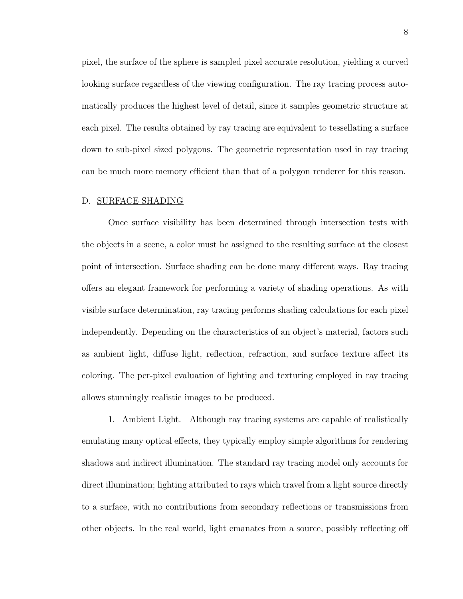pixel, the surface of the sphere is sampled pixel accurate resolution, yielding a curved looking surface regardless of the viewing configuration. The ray tracing process automatically produces the highest level of detail, since it samples geometric structure at each pixel. The results obtained by ray tracing are equivalent to tessellating a surface down to sub-pixel sized polygons. The geometric representation used in ray tracing can be much more memory efficient than that of a polygon renderer for this reason.

#### D. SURFACE SHADING

Once surface visibility has been determined through intersection tests with the objects in a scene, a color must be assigned to the resulting surface at the closest point of intersection. Surface shading can be done many different ways. Ray tracing offers an elegant framework for performing a variety of shading operations. As with visible surface determination, ray tracing performs shading calculations for each pixel independently. Depending on the characteristics of an object's material, factors such as ambient light, diffuse light, reflection, refraction, and surface texture affect its coloring. The per-pixel evaluation of lighting and texturing employed in ray tracing allows stunningly realistic images to be produced.

1. Ambient Light. Although ray tracing systems are capable of realistically emulating many optical effects, they typically employ simple algorithms for rendering shadows and indirect illumination. The standard ray tracing model only accounts for direct illumination; lighting attributed to rays which travel from a light source directly to a surface, with no contributions from secondary reflections or transmissions from other objects. In the real world, light emanates from a source, possibly reflecting off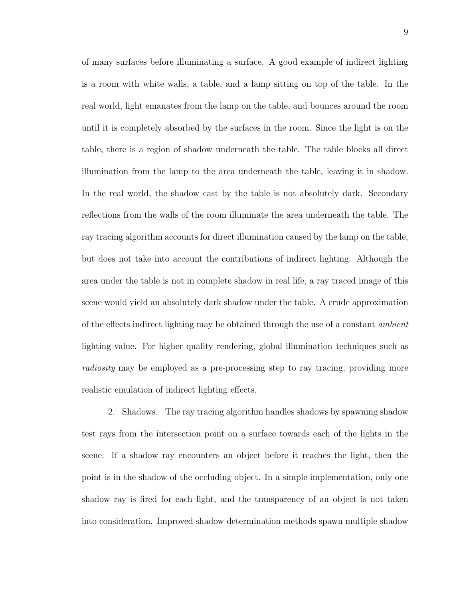of many surfaces before illuminating a surface. A good example of indirect lighting is a room with white walls, a table, and a lamp sitting on top of the table. In the real world, light emanates from the lamp on the table, and bounces around the room until it is completely absorbed by the surfaces in the room. Since the light is on the table, there is a region of shadow underneath the table. The table blocks all direct illumination from the lamp to the area underneath the table, leaving it in shadow. In the real world, the shadow cast by the table is not absolutely dark. Secondary reflections from the walls of the room illuminate the area underneath the table. The ray tracing algorithm accounts for direct illumination caused by the lamp on the table, but does not take into account the contributions of indirect lighting. Although the area under the table is not in complete shadow in real life, a ray traced image of this scene would yield an absolutely dark shadow under the table. A crude approximation of the effects indirect lighting may be obtained through the use of a constant ambient lighting value. For higher quality rendering, global illumination techniques such as radiosity may be employed as a pre-processing step to ray tracing, providing more realistic emulation of indirect lighting effects.

2. Shadows. The ray tracing algorithm handles shadows by spawning shadow test rays from the intersection point on a surface towards each of the lights in the scene. If a shadow ray encounters an object before it reaches the light, then the point is in the shadow of the occluding object. In a simple implementation, only one shadow ray is fired for each light, and the transparency of an object is not taken into consideration. Improved shadow determination methods spawn multiple shadow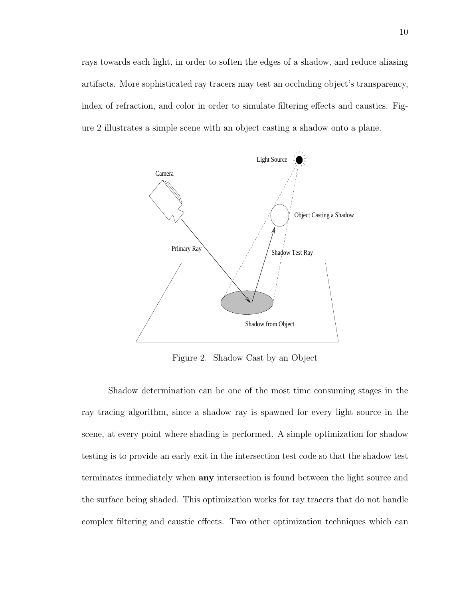rays towards each light, in order to soften the edges of a shadow, and reduce aliasing artifacts. More sophisticated ray tracers may test an occluding object's transparency, index of refraction, and color in order to simulate filtering effects and caustics. Figure 2 illustrates a simple scene with an object casting a shadow onto a plane.



Figure 2. Shadow Cast by an Object

Shadow determination can be one of the most time consuming stages in the ray tracing algorithm, since a shadow ray is spawned for every light source in the scene, at every point where shading is performed. A simple optimization for shadow testing is to provide an early exit in the intersection test code so that the shadow test terminates immediately when **any** intersection is found between the light source and the surface being shaded. This optimization works for ray tracers that do not handle complex filtering and caustic effects. Two other optimization techniques which can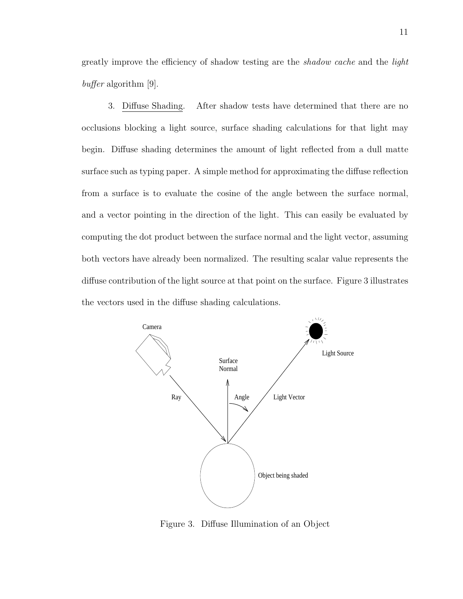greatly improve the efficiency of shadow testing are the *shadow cache* and the *light* buffer algorithm [9].

3. Diffuse Shading. After shadow tests have determined that there are no occlusions blocking a light source, surface shading calculations for that light may begin. Diffuse shading determines the amount of light reflected from a dull matte surface such as typing paper. A simple method for approximating the diffuse reflection from a surface is to evaluate the cosine of the angle between the surface normal, and a vector pointing in the direction of the light. This can easily be evaluated by computing the dot product between the surface normal and the light vector, assuming both vectors have already been normalized. The resulting scalar value represents the diffuse contribution of the light source at that point on the surface. Figure 3 illustrates the vectors used in the diffuse shading calculations.



Figure 3. Diffuse Illumination of an Object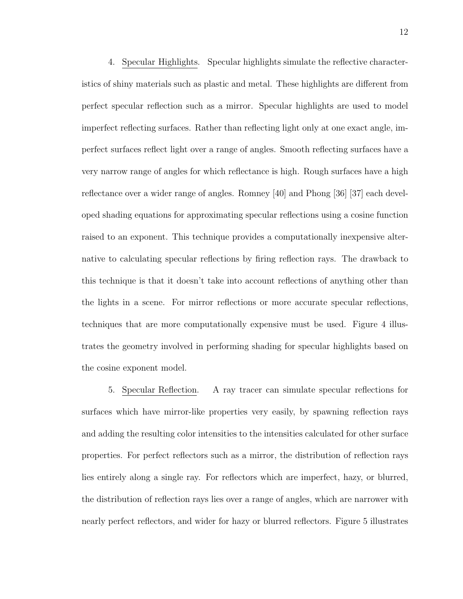4. Specular Highlights. Specular highlights simulate the reflective characteristics of shiny materials such as plastic and metal. These highlights are different from perfect specular reflection such as a mirror. Specular highlights are used to model imperfect reflecting surfaces. Rather than reflecting light only at one exact angle, imperfect surfaces reflect light over a range of angles. Smooth reflecting surfaces have a very narrow range of angles for which reflectance is high. Rough surfaces have a high reflectance over a wider range of angles. Romney [40] and Phong [36] [37] each developed shading equations for approximating specular reflections using a cosine function raised to an exponent. This technique provides a computationally inexpensive alternative to calculating specular reflections by firing reflection rays. The drawback to this technique is that it doesn't take into account reflections of anything other than the lights in a scene. For mirror reflections or more accurate specular reflections, techniques that are more computationally expensive must be used. Figure 4 illustrates the geometry involved in performing shading for specular highlights based on the cosine exponent model.

5. Specular Reflection. A ray tracer can simulate specular reflections for surfaces which have mirror-like properties very easily, by spawning reflection rays and adding the resulting color intensities to the intensities calculated for other surface properties. For perfect reflectors such as a mirror, the distribution of reflection rays lies entirely along a single ray. For reflectors which are imperfect, hazy, or blurred, the distribution of reflection rays lies over a range of angles, which are narrower with nearly perfect reflectors, and wider for hazy or blurred reflectors. Figure 5 illustrates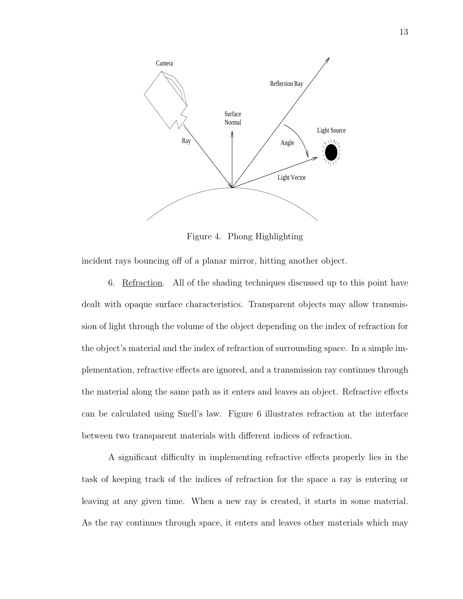

Figure 4. Phong Highlighting

incident rays bouncing off of a planar mirror, hitting another object.

6. Refraction. All of the shading techniques discussed up to this point have dealt with opaque surface characteristics. Transparent objects may allow transmission of light through the volume of the object depending on the index of refraction for the object's material and the index of refraction of surrounding space. In a simple implementation, refractive effects are ignored, and a transmission ray continues through the material along the same path as it enters and leaves an object. Refractive effects can be calculated using Snell's law. Figure 6 illustrates refraction at the interface between two transparent materials with different indices of refraction.

A significant difficulty in implementing refractive effects properly lies in the task of keeping track of the indices of refraction for the space a ray is entering or leaving at any given time. When a new ray is created, it starts in some material. As the ray continues through space, it enters and leaves other materials which may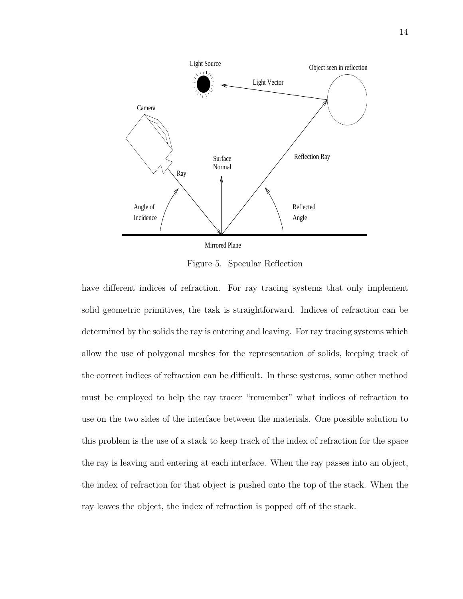

Figure 5. Specular Reflection

have different indices of refraction. For ray tracing systems that only implement solid geometric primitives, the task is straightforward. Indices of refraction can be determined by the solids the ray is entering and leaving. For ray tracing systems which allow the use of polygonal meshes for the representation of solids, keeping track of the correct indices of refraction can be difficult. In these systems, some other method must be employed to help the ray tracer "remember" what indices of refraction to use on the two sides of the interface between the materials. One possible solution to this problem is the use of a stack to keep track of the index of refraction for the space the ray is leaving and entering at each interface. When the ray passes into an object, the index of refraction for that object is pushed onto the top of the stack. When the ray leaves the object, the index of refraction is popped off of the stack.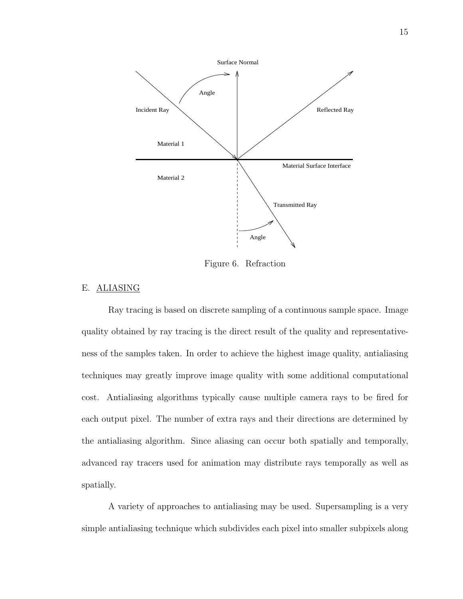

Figure 6. Refraction

# E. ALIASING

Ray tracing is based on discrete sampling of a continuous sample space. Image quality obtained by ray tracing is the direct result of the quality and representativeness of the samples taken. In order to achieve the highest image quality, antialiasing techniques may greatly improve image quality with some additional computational cost. Antialiasing algorithms typically cause multiple camera rays to be fired for each output pixel. The number of extra rays and their directions are determined by the antialiasing algorithm. Since aliasing can occur both spatially and temporally, advanced ray tracers used for animation may distribute rays temporally as well as spatially.

A variety of approaches to antialiasing may be used. Supersampling is a very simple antialiasing technique which subdivides each pixel into smaller subpixels along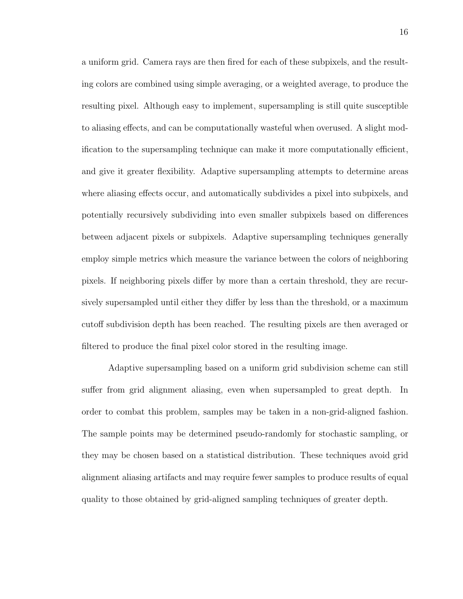a uniform grid. Camera rays are then fired for each of these subpixels, and the resulting colors are combined using simple averaging, or a weighted average, to produce the resulting pixel. Although easy to implement, supersampling is still quite susceptible to aliasing effects, and can be computationally wasteful when overused. A slight modification to the supersampling technique can make it more computationally efficient, and give it greater flexibility. Adaptive supersampling attempts to determine areas where aliasing effects occur, and automatically subdivides a pixel into subpixels, and potentially recursively subdividing into even smaller subpixels based on differences between adjacent pixels or subpixels. Adaptive supersampling techniques generally employ simple metrics which measure the variance between the colors of neighboring pixels. If neighboring pixels differ by more than a certain threshold, they are recursively supersampled until either they differ by less than the threshold, or a maximum cutoff subdivision depth has been reached. The resulting pixels are then averaged or filtered to produce the final pixel color stored in the resulting image.

Adaptive supersampling based on a uniform grid subdivision scheme can still suffer from grid alignment aliasing, even when supersampled to great depth. In order to combat this problem, samples may be taken in a non-grid-aligned fashion. The sample points may be determined pseudo-randomly for stochastic sampling, or they may be chosen based on a statistical distribution. These techniques avoid grid alignment aliasing artifacts and may require fewer samples to produce results of equal quality to those obtained by grid-aligned sampling techniques of greater depth.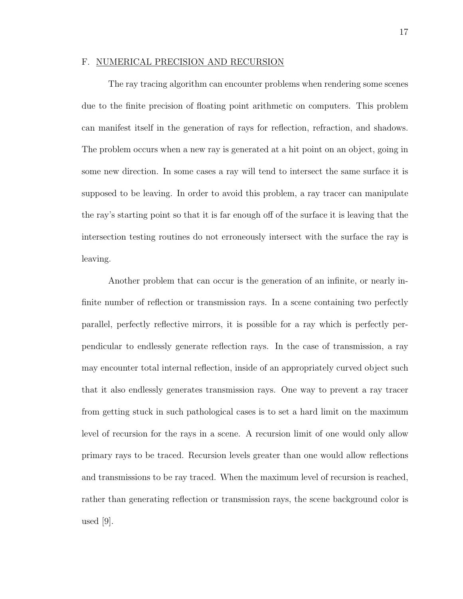### F. NUMERICAL PRECISION AND RECURSION

The ray tracing algorithm can encounter problems when rendering some scenes due to the finite precision of floating point arithmetic on computers. This problem can manifest itself in the generation of rays for reflection, refraction, and shadows. The problem occurs when a new ray is generated at a hit point on an object, going in some new direction. In some cases a ray will tend to intersect the same surface it is supposed to be leaving. In order to avoid this problem, a ray tracer can manipulate the ray's starting point so that it is far enough off of the surface it is leaving that the intersection testing routines do not erroneously intersect with the surface the ray is leaving.

Another problem that can occur is the generation of an infinite, or nearly infinite number of reflection or transmission rays. In a scene containing two perfectly parallel, perfectly reflective mirrors, it is possible for a ray which is perfectly perpendicular to endlessly generate reflection rays. In the case of transmission, a ray may encounter total internal reflection, inside of an appropriately curved object such that it also endlessly generates transmission rays. One way to prevent a ray tracer from getting stuck in such pathological cases is to set a hard limit on the maximum level of recursion for the rays in a scene. A recursion limit of one would only allow primary rays to be traced. Recursion levels greater than one would allow reflections and transmissions to be ray traced. When the maximum level of recursion is reached, rather than generating reflection or transmission rays, the scene background color is used [9].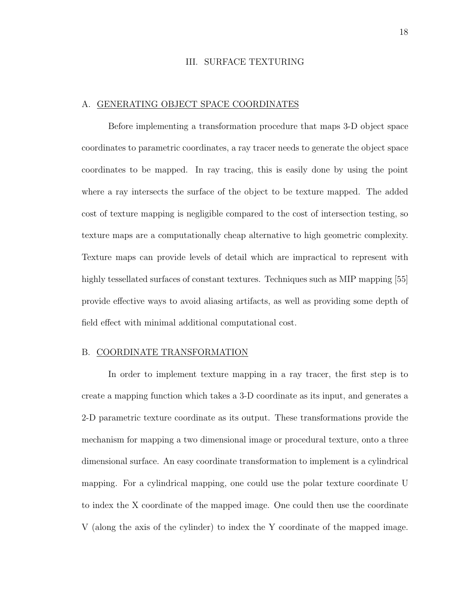# III. SURFACE TEXTURING

### A. GENERATING OBJECT SPACE COORDINATES

Before implementing a transformation procedure that maps 3-D object space coordinates to parametric coordinates, a ray tracer needs to generate the object space coordinates to be mapped. In ray tracing, this is easily done by using the point where a ray intersects the surface of the object to be texture mapped. The added cost of texture mapping is negligible compared to the cost of intersection testing, so texture maps are a computationally cheap alternative to high geometric complexity. Texture maps can provide levels of detail which are impractical to represent with highly tessellated surfaces of constant textures. Techniques such as MIP mapping [55] provide effective ways to avoid aliasing artifacts, as well as providing some depth of field effect with minimal additional computational cost.

#### B. COORDINATE TRANSFORMATION

In order to implement texture mapping in a ray tracer, the first step is to create a mapping function which takes a 3-D coordinate as its input, and generates a 2-D parametric texture coordinate as its output. These transformations provide the mechanism for mapping a two dimensional image or procedural texture, onto a three dimensional surface. An easy coordinate transformation to implement is a cylindrical mapping. For a cylindrical mapping, one could use the polar texture coordinate U to index the X coordinate of the mapped image. One could then use the coordinate V (along the axis of the cylinder) to index the Y coordinate of the mapped image.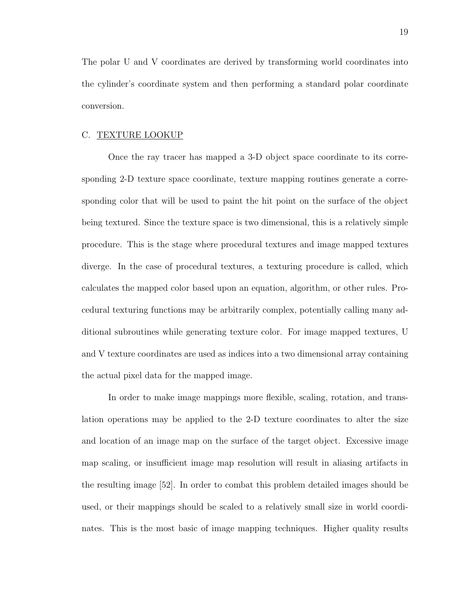The polar U and V coordinates are derived by transforming world coordinates into the cylinder's coordinate system and then performing a standard polar coordinate conversion.

#### C. TEXTURE LOOKUP

Once the ray tracer has mapped a 3-D object space coordinate to its corresponding 2-D texture space coordinate, texture mapping routines generate a corresponding color that will be used to paint the hit point on the surface of the object being textured. Since the texture space is two dimensional, this is a relatively simple procedure. This is the stage where procedural textures and image mapped textures diverge. In the case of procedural textures, a texturing procedure is called, which calculates the mapped color based upon an equation, algorithm, or other rules. Procedural texturing functions may be arbitrarily complex, potentially calling many additional subroutines while generating texture color. For image mapped textures, U and V texture coordinates are used as indices into a two dimensional array containing the actual pixel data for the mapped image.

In order to make image mappings more flexible, scaling, rotation, and translation operations may be applied to the 2-D texture coordinates to alter the size and location of an image map on the surface of the target object. Excessive image map scaling, or insufficient image map resolution will result in aliasing artifacts in the resulting image [52]. In order to combat this problem detailed images should be used, or their mappings should be scaled to a relatively small size in world coordinates. This is the most basic of image mapping techniques. Higher quality results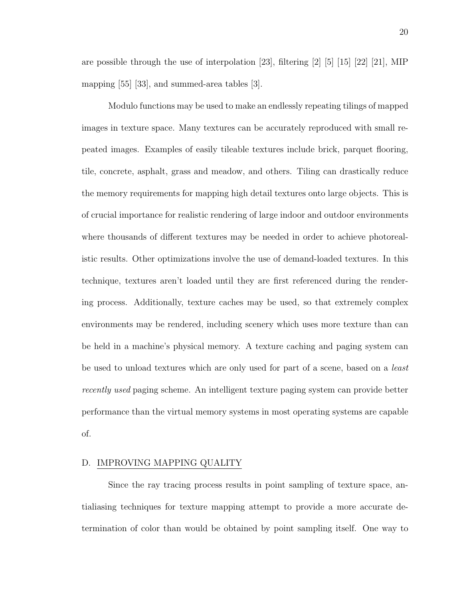are possible through the use of interpolation [23], filtering [2] [5] [15] [22] [21], MIP mapping [55] [33], and summed-area tables [3].

Modulo functions may be used to make an endlessly repeating tilings of mapped images in texture space. Many textures can be accurately reproduced with small repeated images. Examples of easily tileable textures include brick, parquet flooring, tile, concrete, asphalt, grass and meadow, and others. Tiling can drastically reduce the memory requirements for mapping high detail textures onto large objects. This is of crucial importance for realistic rendering of large indoor and outdoor environments where thousands of different textures may be needed in order to achieve photorealistic results. Other optimizations involve the use of demand-loaded textures. In this technique, textures aren't loaded until they are first referenced during the rendering process. Additionally, texture caches may be used, so that extremely complex environments may be rendered, including scenery which uses more texture than can be held in a machine's physical memory. A texture caching and paging system can be used to unload textures which are only used for part of a scene, based on a least recently used paging scheme. An intelligent texture paging system can provide better performance than the virtual memory systems in most operating systems are capable of.

#### D. IMPROVING MAPPING QUALITY

Since the ray tracing process results in point sampling of texture space, antialiasing techniques for texture mapping attempt to provide a more accurate determination of color than would be obtained by point sampling itself. One way to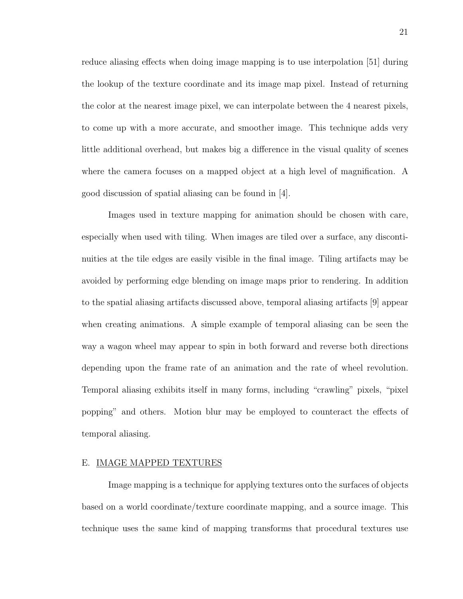reduce aliasing effects when doing image mapping is to use interpolation [51] during the lookup of the texture coordinate and its image map pixel. Instead of returning the color at the nearest image pixel, we can interpolate between the 4 nearest pixels, to come up with a more accurate, and smoother image. This technique adds very little additional overhead, but makes big a difference in the visual quality of scenes where the camera focuses on a mapped object at a high level of magnification. A good discussion of spatial aliasing can be found in [4].

Images used in texture mapping for animation should be chosen with care, especially when used with tiling. When images are tiled over a surface, any discontinuities at the tile edges are easily visible in the final image. Tiling artifacts may be avoided by performing edge blending on image maps prior to rendering. In addition to the spatial aliasing artifacts discussed above, temporal aliasing artifacts [9] appear when creating animations. A simple example of temporal aliasing can be seen the way a wagon wheel may appear to spin in both forward and reverse both directions depending upon the frame rate of an animation and the rate of wheel revolution. Temporal aliasing exhibits itself in many forms, including "crawling" pixels, "pixel popping" and others. Motion blur may be employed to counteract the effects of temporal aliasing.

#### E. IMAGE MAPPED TEXTURES

Image mapping is a technique for applying textures onto the surfaces of objects based on a world coordinate/texture coordinate mapping, and a source image. This technique uses the same kind of mapping transforms that procedural textures use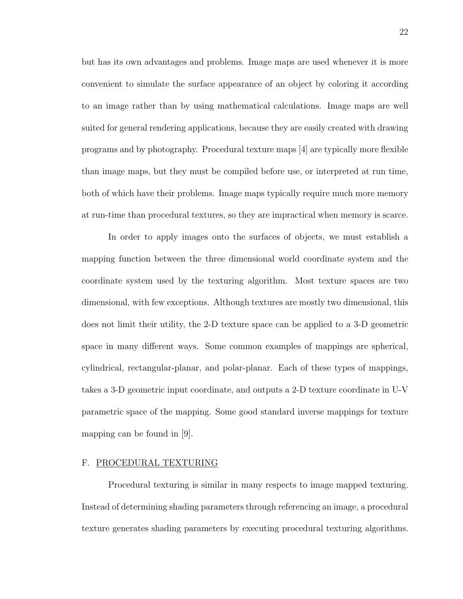but has its own advantages and problems. Image maps are used whenever it is more convenient to simulate the surface appearance of an object by coloring it according to an image rather than by using mathematical calculations. Image maps are well suited for general rendering applications, because they are easily created with drawing programs and by photography. Procedural texture maps [4] are typically more flexible than image maps, but they must be compiled before use, or interpreted at run time, both of which have their problems. Image maps typically require much more memory at run-time than procedural textures, so they are impractical when memory is scarce.

In order to apply images onto the surfaces of objects, we must establish a mapping function between the three dimensional world coordinate system and the coordinate system used by the texturing algorithm. Most texture spaces are two dimensional, with few exceptions. Although textures are mostly two dimensional, this does not limit their utility, the 2-D texture space can be applied to a 3-D geometric space in many different ways. Some common examples of mappings are spherical, cylindrical, rectangular-planar, and polar-planar. Each of these types of mappings, takes a 3-D geometric input coordinate, and outputs a 2-D texture coordinate in U-V parametric space of the mapping. Some good standard inverse mappings for texture mapping can be found in [9].

# F. PROCEDURAL TEXTURING

Procedural texturing is similar in many respects to image mapped texturing. Instead of determining shading parameters through referencing an image, a procedural texture generates shading parameters by executing procedural texturing algorithms.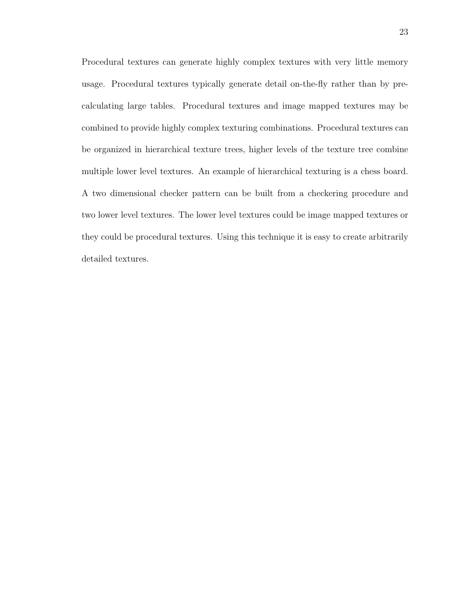Procedural textures can generate highly complex textures with very little memory usage. Procedural textures typically generate detail on-the-fly rather than by precalculating large tables. Procedural textures and image mapped textures may be combined to provide highly complex texturing combinations. Procedural textures can be organized in hierarchical texture trees, higher levels of the texture tree combine multiple lower level textures. An example of hierarchical texturing is a chess board. A two dimensional checker pattern can be built from a checkering procedure and two lower level textures. The lower level textures could be image mapped textures or they could be procedural textures. Using this technique it is easy to create arbitrarily detailed textures.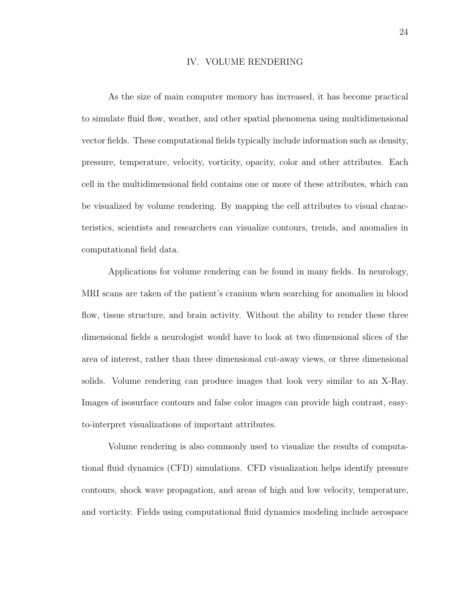### IV. VOLUME RENDERING

As the size of main computer memory has increased, it has become practical to simulate fluid flow, weather, and other spatial phenomena using multidimensional vector fields. These computational fields typically include information such as density, pressure, temperature, velocity, vorticity, opacity, color and other attributes. Each cell in the multidimensional field contains one or more of these attributes, which can be visualized by volume rendering. By mapping the cell attributes to visual characteristics, scientists and researchers can visualize contours, trends, and anomalies in computational field data.

Applications for volume rendering can be found in many fields. In neurology, MRI scans are taken of the patient's cranium when searching for anomalies in blood flow, tissue structure, and brain activity. Without the ability to render these three dimensional fields a neurologist would have to look at two dimensional slices of the area of interest, rather than three dimensional cut-away views, or three dimensional solids. Volume rendering can produce images that look very similar to an X-Ray. Images of isosurface contours and false color images can provide high contrast, easyto-interpret visualizations of important attributes.

Volume rendering is also commonly used to visualize the results of computational fluid dynamics (CFD) simulations. CFD visualization helps identify pressure contours, shock wave propagation, and areas of high and low velocity, temperature, and vorticity. Fields using computational fluid dynamics modeling include aerospace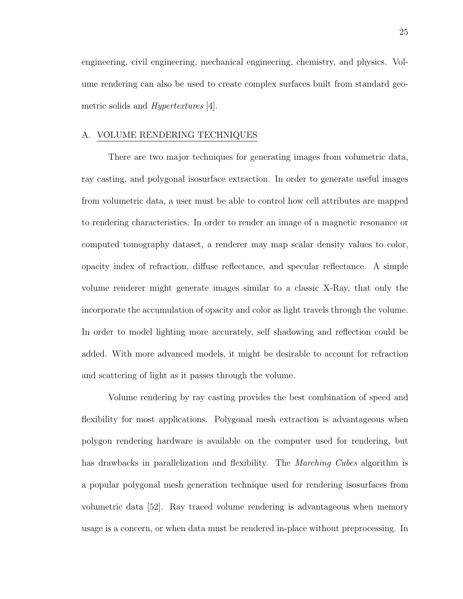engineering, civil engineering, mechanical engineering, chemistry, and physics. Volume rendering can also be used to create complex surfaces built from standard geometric solids and Hypertextures [4].

#### A. VOLUME RENDERING TECHNIQUES

There are two major techniques for generating images from volumetric data, ray casting, and polygonal isosurface extraction. In order to generate useful images from volumetric data, a user must be able to control how cell attributes are mapped to rendering characteristics. In order to render an image of a magnetic resonance or computed tomography dataset, a renderer may map scalar density values to color, opacity index of refraction, diffuse reflectance, and specular reflectance. A simple volume renderer might generate images similar to a classic X-Ray, that only the incorporate the accumulation of opacity and color as light travels through the volume. In order to model lighting more accurately, self shadowing and reflection could be added. With more advanced models, it might be desirable to account for refraction and scattering of light as it passes through the volume.

Volume rendering by ray casting provides the best combination of speed and flexibility for most applications. Polygonal mesh extraction is advantageous when polygon rendering hardware is available on the computer used for rendering, but has drawbacks in parallelization and flexibility. The *Marching Cubes* algorithm is a popular polygonal mesh generation technique used for rendering isosurfaces from volumetric data [52]. Ray traced volume rendering is advantageous when memory usage is a concern, or when data must be rendered in-place without preprocessing. In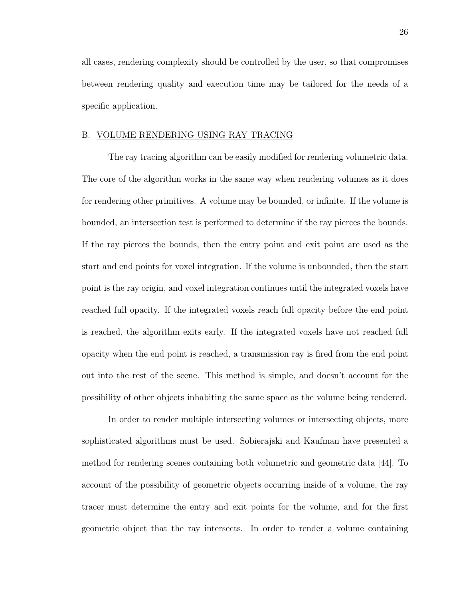all cases, rendering complexity should be controlled by the user, so that compromises between rendering quality and execution time may be tailored for the needs of a specific application.

#### B. VOLUME RENDERING USING RAY TRACING

The ray tracing algorithm can be easily modified for rendering volumetric data. The core of the algorithm works in the same way when rendering volumes as it does for rendering other primitives. A volume may be bounded, or infinite. If the volume is bounded, an intersection test is performed to determine if the ray pierces the bounds. If the ray pierces the bounds, then the entry point and exit point are used as the start and end points for voxel integration. If the volume is unbounded, then the start point is the ray origin, and voxel integration continues until the integrated voxels have reached full opacity. If the integrated voxels reach full opacity before the end point is reached, the algorithm exits early. If the integrated voxels have not reached full opacity when the end point is reached, a transmission ray is fired from the end point out into the rest of the scene. This method is simple, and doesn't account for the possibility of other objects inhabiting the same space as the volume being rendered.

In order to render multiple intersecting volumes or intersecting objects, more sophisticated algorithms must be used. Sobierajski and Kaufman have presented a method for rendering scenes containing both volumetric and geometric data [44]. To account of the possibility of geometric objects occurring inside of a volume, the ray tracer must determine the entry and exit points for the volume, and for the first geometric object that the ray intersects. In order to render a volume containing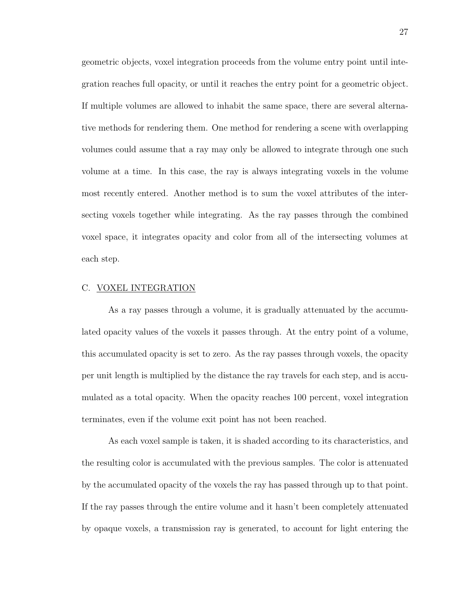geometric objects, voxel integration proceeds from the volume entry point until integration reaches full opacity, or until it reaches the entry point for a geometric object. If multiple volumes are allowed to inhabit the same space, there are several alternative methods for rendering them. One method for rendering a scene with overlapping volumes could assume that a ray may only be allowed to integrate through one such volume at a time. In this case, the ray is always integrating voxels in the volume most recently entered. Another method is to sum the voxel attributes of the intersecting voxels together while integrating. As the ray passes through the combined voxel space, it integrates opacity and color from all of the intersecting volumes at each step.

#### C. VOXEL INTEGRATION

As a ray passes through a volume, it is gradually attenuated by the accumulated opacity values of the voxels it passes through. At the entry point of a volume, this accumulated opacity is set to zero. As the ray passes through voxels, the opacity per unit length is multiplied by the distance the ray travels for each step, and is accumulated as a total opacity. When the opacity reaches 100 percent, voxel integration terminates, even if the volume exit point has not been reached.

As each voxel sample is taken, it is shaded according to its characteristics, and the resulting color is accumulated with the previous samples. The color is attenuated by the accumulated opacity of the voxels the ray has passed through up to that point. If the ray passes through the entire volume and it hasn't been completely attenuated by opaque voxels, a transmission ray is generated, to account for light entering the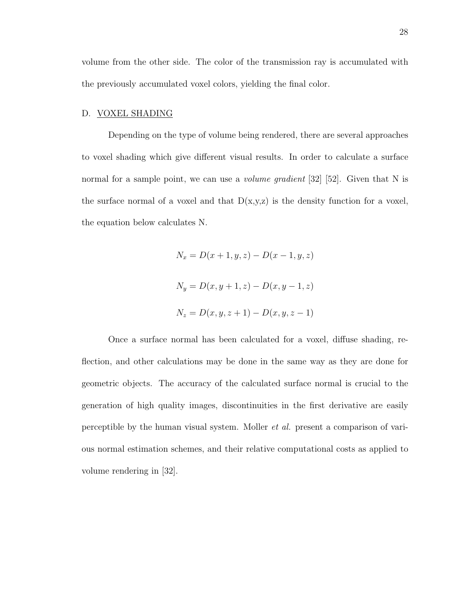volume from the other side. The color of the transmission ray is accumulated with the previously accumulated voxel colors, yielding the final color.

#### D. VOXEL SHADING

Depending on the type of volume being rendered, there are several approaches to voxel shading which give different visual results. In order to calculate a surface normal for a sample point, we can use a *volume gradient* [32] [52]. Given that N is the surface normal of a voxel and that  $D(x,y,z)$  is the density function for a voxel, the equation below calculates N.

$$
N_x = D(x + 1, y, z) - D(x - 1, y, z)
$$
  
\n
$$
N_y = D(x, y + 1, z) - D(x, y - 1, z)
$$
  
\n
$$
N_z = D(x, y, z + 1) - D(x, y, z - 1)
$$

Once a surface normal has been calculated for a voxel, diffuse shading, reflection, and other calculations may be done in the same way as they are done for geometric objects. The accuracy of the calculated surface normal is crucial to the generation of high quality images, discontinuities in the first derivative are easily perceptible by the human visual system. Moller et al. present a comparison of various normal estimation schemes, and their relative computational costs as applied to volume rendering in [32].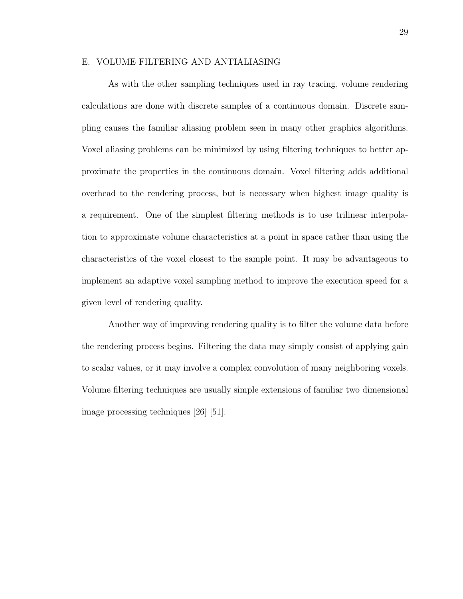## E. VOLUME FILTERING AND ANTIALIASING

As with the other sampling techniques used in ray tracing, volume rendering calculations are done with discrete samples of a continuous domain. Discrete sampling causes the familiar aliasing problem seen in many other graphics algorithms. Voxel aliasing problems can be minimized by using filtering techniques to better approximate the properties in the continuous domain. Voxel filtering adds additional overhead to the rendering process, but is necessary when highest image quality is a requirement. One of the simplest filtering methods is to use trilinear interpolation to approximate volume characteristics at a point in space rather than using the characteristics of the voxel closest to the sample point. It may be advantageous to implement an adaptive voxel sampling method to improve the execution speed for a given level of rendering quality.

Another way of improving rendering quality is to filter the volume data before the rendering process begins. Filtering the data may simply consist of applying gain to scalar values, or it may involve a complex convolution of many neighboring voxels. Volume filtering techniques are usually simple extensions of familiar two dimensional image processing techniques [26] [51].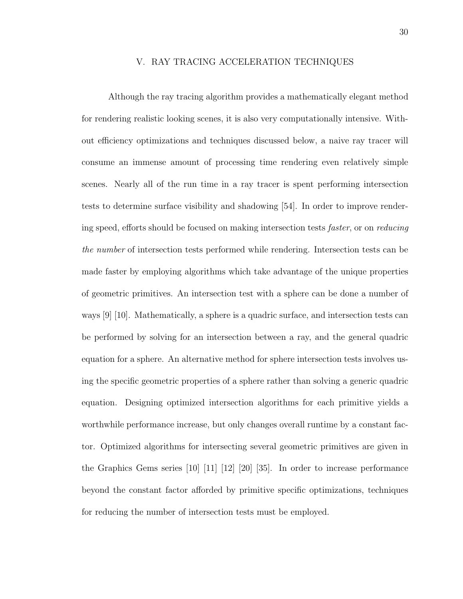## V. RAY TRACING ACCELERATION TECHNIQUES

Although the ray tracing algorithm provides a mathematically elegant method for rendering realistic looking scenes, it is also very computationally intensive. Without efficiency optimizations and techniques discussed below, a naive ray tracer will consume an immense amount of processing time rendering even relatively simple scenes. Nearly all of the run time in a ray tracer is spent performing intersection tests to determine surface visibility and shadowing [54]. In order to improve rendering speed, efforts should be focused on making intersection tests faster, or on reducing the number of intersection tests performed while rendering. Intersection tests can be made faster by employing algorithms which take advantage of the unique properties of geometric primitives. An intersection test with a sphere can be done a number of ways [9] [10]. Mathematically, a sphere is a quadric surface, and intersection tests can be performed by solving for an intersection between a ray, and the general quadric equation for a sphere. An alternative method for sphere intersection tests involves using the specific geometric properties of a sphere rather than solving a generic quadric equation. Designing optimized intersection algorithms for each primitive yields a worthwhile performance increase, but only changes overall runtime by a constant factor. Optimized algorithms for intersecting several geometric primitives are given in the Graphics Gems series [10] [11] [12] [20] [35]. In order to increase performance beyond the constant factor afforded by primitive specific optimizations, techniques for reducing the number of intersection tests must be employed.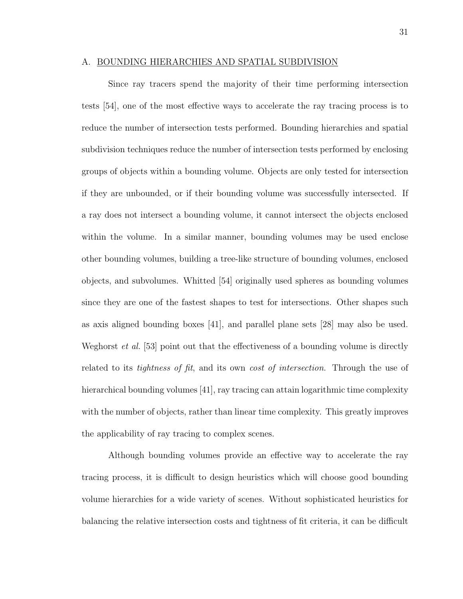## A. BOUNDING HIERARCHIES AND SPATIAL SUBDIVISION

Since ray tracers spend the majority of their time performing intersection tests [54], one of the most effective ways to accelerate the ray tracing process is to reduce the number of intersection tests performed. Bounding hierarchies and spatial subdivision techniques reduce the number of intersection tests performed by enclosing groups of objects within a bounding volume. Objects are only tested for intersection if they are unbounded, or if their bounding volume was successfully intersected. If a ray does not intersect a bounding volume, it cannot intersect the objects enclosed within the volume. In a similar manner, bounding volumes may be used enclose other bounding volumes, building a tree-like structure of bounding volumes, enclosed objects, and subvolumes. Whitted [54] originally used spheres as bounding volumes since they are one of the fastest shapes to test for intersections. Other shapes such as axis aligned bounding boxes [41], and parallel plane sets [28] may also be used. Weghorst *et al.* [53] point out that the effectiveness of a bounding volume is directly related to its *tightness of fit*, and its own *cost of intersection*. Through the use of hierarchical bounding volumes [41], ray tracing can attain logarithmic time complexity with the number of objects, rather than linear time complexity. This greatly improves the applicability of ray tracing to complex scenes.

Although bounding volumes provide an effective way to accelerate the ray tracing process, it is difficult to design heuristics which will choose good bounding volume hierarchies for a wide variety of scenes. Without sophisticated heuristics for balancing the relative intersection costs and tightness of fit criteria, it can be difficult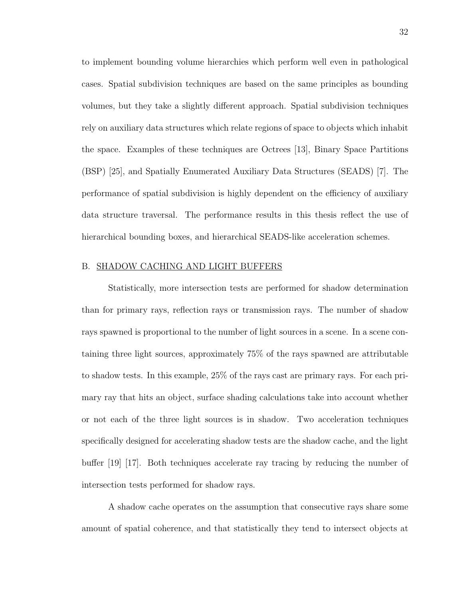to implement bounding volume hierarchies which perform well even in pathological cases. Spatial subdivision techniques are based on the same principles as bounding volumes, but they take a slightly different approach. Spatial subdivision techniques rely on auxiliary data structures which relate regions of space to objects which inhabit the space. Examples of these techniques are Octrees [13], Binary Space Partitions (BSP) [25], and Spatially Enumerated Auxiliary Data Structures (SEADS) [7]. The performance of spatial subdivision is highly dependent on the efficiency of auxiliary data structure traversal. The performance results in this thesis reflect the use of hierarchical bounding boxes, and hierarchical SEADS-like acceleration schemes.

## B. SHADOW CACHING AND LIGHT BUFFERS

Statistically, more intersection tests are performed for shadow determination than for primary rays, reflection rays or transmission rays. The number of shadow rays spawned is proportional to the number of light sources in a scene. In a scene containing three light sources, approximately 75% of the rays spawned are attributable to shadow tests. In this example, 25% of the rays cast are primary rays. For each primary ray that hits an object, surface shading calculations take into account whether or not each of the three light sources is in shadow. Two acceleration techniques specifically designed for accelerating shadow tests are the shadow cache, and the light buffer [19] [17]. Both techniques accelerate ray tracing by reducing the number of intersection tests performed for shadow rays.

A shadow cache operates on the assumption that consecutive rays share some amount of spatial coherence, and that statistically they tend to intersect objects at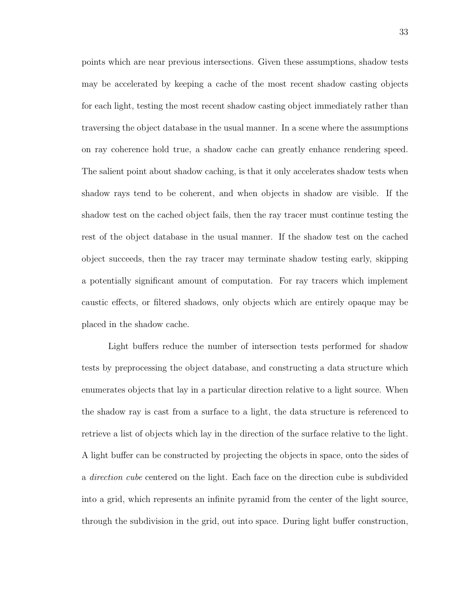points which are near previous intersections. Given these assumptions, shadow tests may be accelerated by keeping a cache of the most recent shadow casting objects for each light, testing the most recent shadow casting object immediately rather than traversing the object database in the usual manner. In a scene where the assumptions on ray coherence hold true, a shadow cache can greatly enhance rendering speed. The salient point about shadow caching, is that it only accelerates shadow tests when shadow rays tend to be coherent, and when objects in shadow are visible. If the shadow test on the cached object fails, then the ray tracer must continue testing the rest of the object database in the usual manner. If the shadow test on the cached object succeeds, then the ray tracer may terminate shadow testing early, skipping a potentially significant amount of computation. For ray tracers which implement caustic effects, or filtered shadows, only objects which are entirely opaque may be placed in the shadow cache.

Light buffers reduce the number of intersection tests performed for shadow tests by preprocessing the object database, and constructing a data structure which enumerates objects that lay in a particular direction relative to a light source. When the shadow ray is cast from a surface to a light, the data structure is referenced to retrieve a list of objects which lay in the direction of the surface relative to the light. A light buffer can be constructed by projecting the objects in space, onto the sides of a direction cube centered on the light. Each face on the direction cube is subdivided into a grid, which represents an infinite pyramid from the center of the light source, through the subdivision in the grid, out into space. During light buffer construction,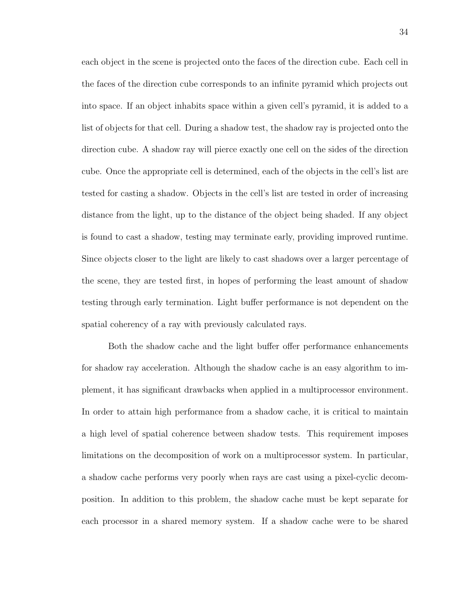each object in the scene is projected onto the faces of the direction cube. Each cell in the faces of the direction cube corresponds to an infinite pyramid which projects out into space. If an object inhabits space within a given cell's pyramid, it is added to a list of objects for that cell. During a shadow test, the shadow ray is projected onto the direction cube. A shadow ray will pierce exactly one cell on the sides of the direction cube. Once the appropriate cell is determined, each of the objects in the cell's list are tested for casting a shadow. Objects in the cell's list are tested in order of increasing distance from the light, up to the distance of the object being shaded. If any object is found to cast a shadow, testing may terminate early, providing improved runtime. Since objects closer to the light are likely to cast shadows over a larger percentage of the scene, they are tested first, in hopes of performing the least amount of shadow testing through early termination. Light buffer performance is not dependent on the spatial coherency of a ray with previously calculated rays.

Both the shadow cache and the light buffer offer performance enhancements for shadow ray acceleration. Although the shadow cache is an easy algorithm to implement, it has significant drawbacks when applied in a multiprocessor environment. In order to attain high performance from a shadow cache, it is critical to maintain a high level of spatial coherence between shadow tests. This requirement imposes limitations on the decomposition of work on a multiprocessor system. In particular, a shadow cache performs very poorly when rays are cast using a pixel-cyclic decomposition. In addition to this problem, the shadow cache must be kept separate for each processor in a shared memory system. If a shadow cache were to be shared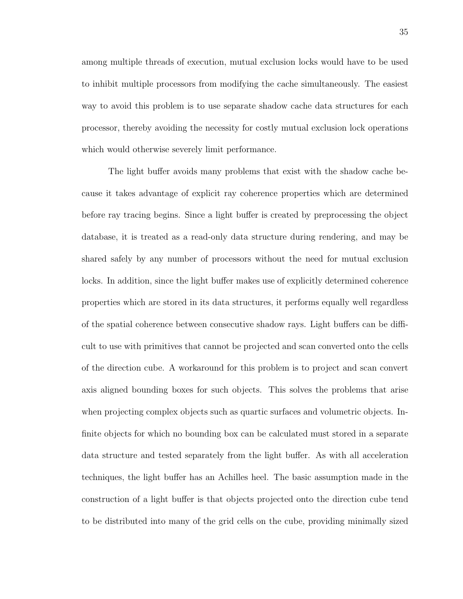among multiple threads of execution, mutual exclusion locks would have to be used to inhibit multiple processors from modifying the cache simultaneously. The easiest way to avoid this problem is to use separate shadow cache data structures for each processor, thereby avoiding the necessity for costly mutual exclusion lock operations which would otherwise severely limit performance.

The light buffer avoids many problems that exist with the shadow cache because it takes advantage of explicit ray coherence properties which are determined before ray tracing begins. Since a light buffer is created by preprocessing the object database, it is treated as a read-only data structure during rendering, and may be shared safely by any number of processors without the need for mutual exclusion locks. In addition, since the light buffer makes use of explicitly determined coherence properties which are stored in its data structures, it performs equally well regardless of the spatial coherence between consecutive shadow rays. Light buffers can be difficult to use with primitives that cannot be projected and scan converted onto the cells of the direction cube. A workaround for this problem is to project and scan convert axis aligned bounding boxes for such objects. This solves the problems that arise when projecting complex objects such as quartic surfaces and volumetric objects. Infinite objects for which no bounding box can be calculated must stored in a separate data structure and tested separately from the light buffer. As with all acceleration techniques, the light buffer has an Achilles heel. The basic assumption made in the construction of a light buffer is that objects projected onto the direction cube tend to be distributed into many of the grid cells on the cube, providing minimally sized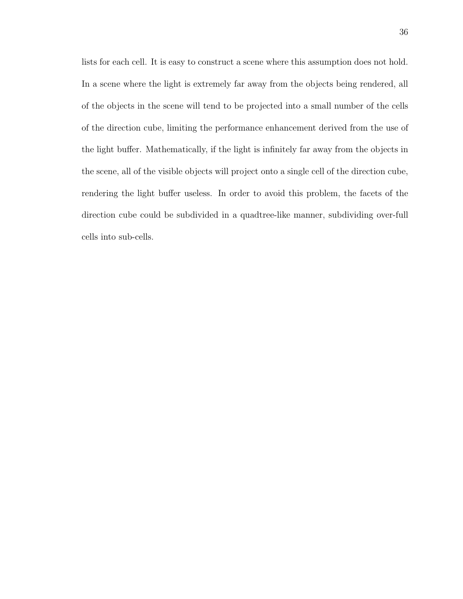lists for each cell. It is easy to construct a scene where this assumption does not hold. In a scene where the light is extremely far away from the objects being rendered, all of the objects in the scene will tend to be projected into a small number of the cells of the direction cube, limiting the performance enhancement derived from the use of the light buffer. Mathematically, if the light is infinitely far away from the objects in the scene, all of the visible objects will project onto a single cell of the direction cube, rendering the light buffer useless. In order to avoid this problem, the facets of the direction cube could be subdivided in a quadtree-like manner, subdividing over-full cells into sub-cells.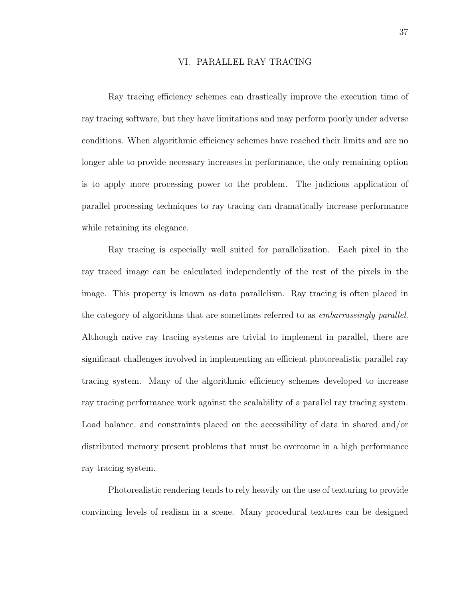# VI. PARALLEL RAY TRACING

Ray tracing efficiency schemes can drastically improve the execution time of ray tracing software, but they have limitations and may perform poorly under adverse conditions. When algorithmic efficiency schemes have reached their limits and are no longer able to provide necessary increases in performance, the only remaining option is to apply more processing power to the problem. The judicious application of parallel processing techniques to ray tracing can dramatically increase performance while retaining its elegance.

Ray tracing is especially well suited for parallelization. Each pixel in the ray traced image can be calculated independently of the rest of the pixels in the image. This property is known as data parallelism. Ray tracing is often placed in the category of algorithms that are sometimes referred to as *embarrassingly parallel*. Although naive ray tracing systems are trivial to implement in parallel, there are significant challenges involved in implementing an efficient photorealistic parallel ray tracing system. Many of the algorithmic efficiency schemes developed to increase ray tracing performance work against the scalability of a parallel ray tracing system. Load balance, and constraints placed on the accessibility of data in shared and/or distributed memory present problems that must be overcome in a high performance ray tracing system.

Photorealistic rendering tends to rely heavily on the use of texturing to provide convincing levels of realism in a scene. Many procedural textures can be designed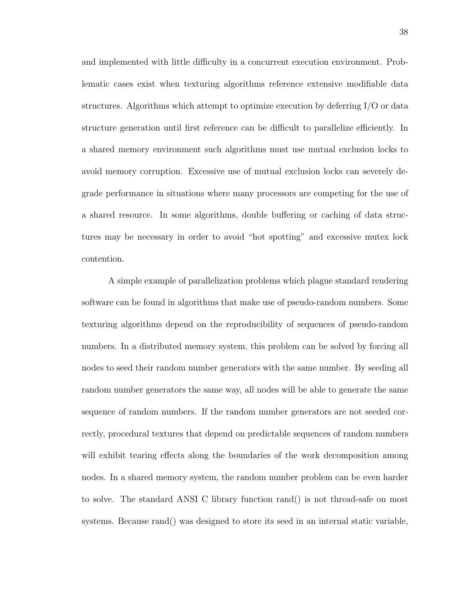and implemented with little difficulty in a concurrent execution environment. Problematic cases exist when texturing algorithms reference extensive modifiable data structures. Algorithms which attempt to optimize execution by deferring I/O or data structure generation until first reference can be difficult to parallelize efficiently. In a shared memory environment such algorithms must use mutual exclusion locks to avoid memory corruption. Excessive use of mutual exclusion locks can severely degrade performance in situations where many processors are competing for the use of a shared resource. In some algorithms, double buffering or caching of data structures may be necessary in order to avoid "hot spotting" and excessive mutex lock contention.

A simple example of parallelization problems which plague standard rendering software can be found in algorithms that make use of pseudo-random numbers. Some texturing algorithms depend on the reproducibility of sequences of pseudo-random numbers. In a distributed memory system, this problem can be solved by forcing all nodes to seed their random number generators with the same number. By seeding all random number generators the same way, all nodes will be able to generate the same sequence of random numbers. If the random number generators are not seeded correctly, procedural textures that depend on predictable sequences of random numbers will exhibit tearing effects along the boundaries of the work decomposition among nodes. In a shared memory system, the random number problem can be even harder to solve. The standard ANSI C library function rand() is not thread-safe on most systems. Because rand() was designed to store its seed in an internal static variable,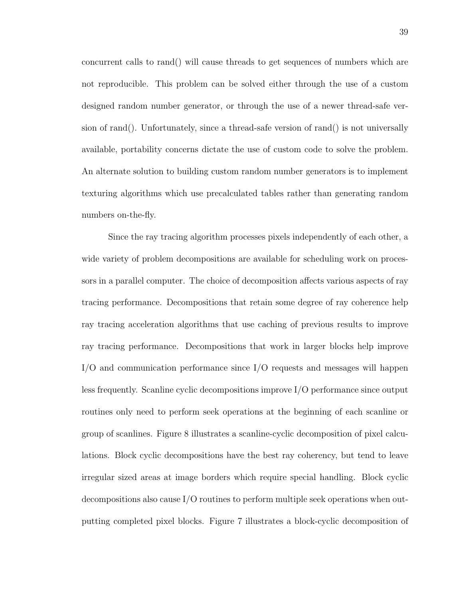concurrent calls to rand() will cause threads to get sequences of numbers which are not reproducible. This problem can be solved either through the use of a custom designed random number generator, or through the use of a newer thread-safe version of rand(). Unfortunately, since a thread-safe version of rand() is not universally available, portability concerns dictate the use of custom code to solve the problem. An alternate solution to building custom random number generators is to implement texturing algorithms which use precalculated tables rather than generating random numbers on-the-fly.

Since the ray tracing algorithm processes pixels independently of each other, a wide variety of problem decompositions are available for scheduling work on processors in a parallel computer. The choice of decomposition affects various aspects of ray tracing performance. Decompositions that retain some degree of ray coherence help ray tracing acceleration algorithms that use caching of previous results to improve ray tracing performance. Decompositions that work in larger blocks help improve I/O and communication performance since I/O requests and messages will happen less frequently. Scanline cyclic decompositions improve I/O performance since output routines only need to perform seek operations at the beginning of each scanline or group of scanlines. Figure 8 illustrates a scanline-cyclic decomposition of pixel calculations. Block cyclic decompositions have the best ray coherency, but tend to leave irregular sized areas at image borders which require special handling. Block cyclic decompositions also cause I/O routines to perform multiple seek operations when outputting completed pixel blocks. Figure 7 illustrates a block-cyclic decomposition of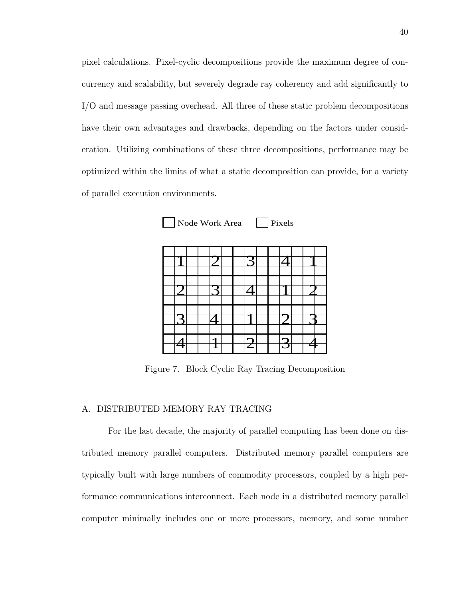pixel calculations. Pixel-cyclic decompositions provide the maximum degree of concurrency and scalability, but severely degrade ray coherency and add significantly to I/O and message passing overhead. All three of these static problem decompositions have their own advantages and drawbacks, depending on the factors under consideration. Utilizing combinations of these three decompositions, performance may be optimized within the limits of what a static decomposition can provide, for a variety of parallel execution environments.



Figure 7. Block Cyclic Ray Tracing Decomposition

#### A. DISTRIBUTED MEMORY RAY TRACING

For the last decade, the majority of parallel computing has been done on distributed memory parallel computers. Distributed memory parallel computers are typically built with large numbers of commodity processors, coupled by a high performance communications interconnect. Each node in a distributed memory parallel computer minimally includes one or more processors, memory, and some number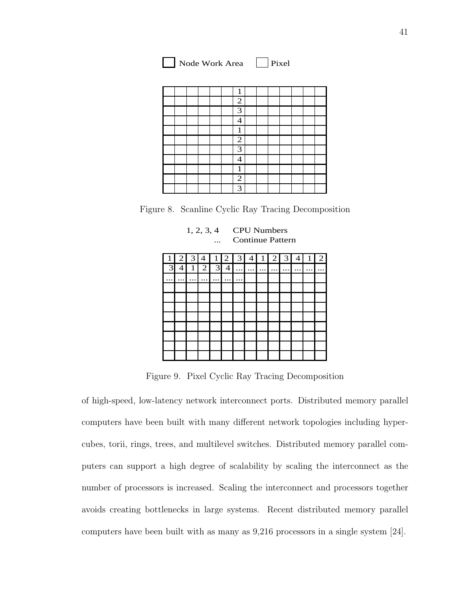| Node Work Area |  | $ $ Pixel |
|----------------|--|-----------|
|----------------|--|-----------|

|  |  |  | $\mathbf{1}$             |  |  |  |  |
|--|--|--|--------------------------|--|--|--|--|
|  |  |  | $\overline{2}$           |  |  |  |  |
|  |  |  | 3                        |  |  |  |  |
|  |  |  | $\overline{\mathcal{A}}$ |  |  |  |  |
|  |  |  | $\mathbf{1}$             |  |  |  |  |
|  |  |  | $\overline{2}$           |  |  |  |  |
|  |  |  | $\overline{3}$           |  |  |  |  |
|  |  |  | 4                        |  |  |  |  |
|  |  |  | 1                        |  |  |  |  |
|  |  |  | $\overline{2}$           |  |  |  |  |
|  |  |  | $\overline{3}$           |  |  |  |  |

Figure 8. Scanline Cyclic Ray Tracing Decomposition

1, 2, 3, 4 CPU Numbers



Figure 9. Pixel Cyclic Ray Tracing Decomposition

of high-speed, low-latency network interconnect ports. Distributed memory parallel computers have been built with many different network topologies including hypercubes, torii, rings, trees, and multilevel switches. Distributed memory parallel computers can support a high degree of scalability by scaling the interconnect as the number of processors is increased. Scaling the interconnect and processors together avoids creating bottlenecks in large systems. Recent distributed memory parallel computers have been built with as many as 9,216 processors in a single system [24].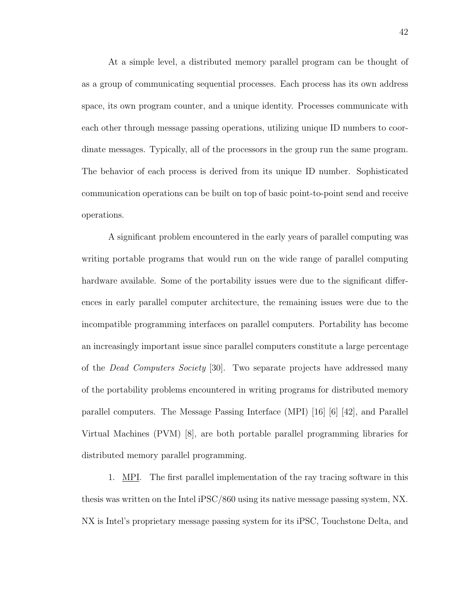At a simple level, a distributed memory parallel program can be thought of as a group of communicating sequential processes. Each process has its own address space, its own program counter, and a unique identity. Processes communicate with each other through message passing operations, utilizing unique ID numbers to coordinate messages. Typically, all of the processors in the group run the same program. The behavior of each process is derived from its unique ID number. Sophisticated communication operations can be built on top of basic point-to-point send and receive operations.

A significant problem encountered in the early years of parallel computing was writing portable programs that would run on the wide range of parallel computing hardware available. Some of the portability issues were due to the significant differences in early parallel computer architecture, the remaining issues were due to the incompatible programming interfaces on parallel computers. Portability has become an increasingly important issue since parallel computers constitute a large percentage of the Dead Computers Society [30]. Two separate projects have addressed many of the portability problems encountered in writing programs for distributed memory parallel computers. The Message Passing Interface (MPI) [16] [6] [42], and Parallel Virtual Machines (PVM) [8], are both portable parallel programming libraries for distributed memory parallel programming.

1. MPI. The first parallel implementation of the ray tracing software in this thesis was written on the Intel iPSC/860 using its native message passing system, NX. NX is Intel's proprietary message passing system for its iPSC, Touchstone Delta, and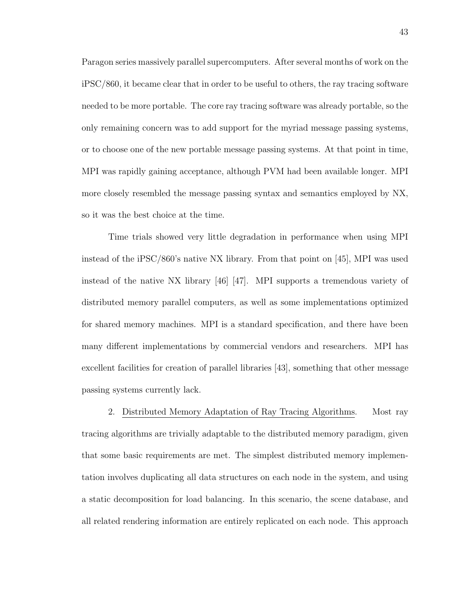Paragon series massively parallel supercomputers. After several months of work on the iPSC/860, it became clear that in order to be useful to others, the ray tracing software needed to be more portable. The core ray tracing software was already portable, so the only remaining concern was to add support for the myriad message passing systems, or to choose one of the new portable message passing systems. At that point in time, MPI was rapidly gaining acceptance, although PVM had been available longer. MPI more closely resembled the message passing syntax and semantics employed by NX, so it was the best choice at the time.

Time trials showed very little degradation in performance when using MPI instead of the iPSC/860's native NX library. From that point on [45], MPI was used instead of the native NX library [46] [47]. MPI supports a tremendous variety of distributed memory parallel computers, as well as some implementations optimized for shared memory machines. MPI is a standard specification, and there have been many different implementations by commercial vendors and researchers. MPI has excellent facilities for creation of parallel libraries [43], something that other message passing systems currently lack.

2. Distributed Memory Adaptation of Ray Tracing Algorithms. Most ray tracing algorithms are trivially adaptable to the distributed memory paradigm, given that some basic requirements are met. The simplest distributed memory implementation involves duplicating all data structures on each node in the system, and using a static decomposition for load balancing. In this scenario, the scene database, and all related rendering information are entirely replicated on each node. This approach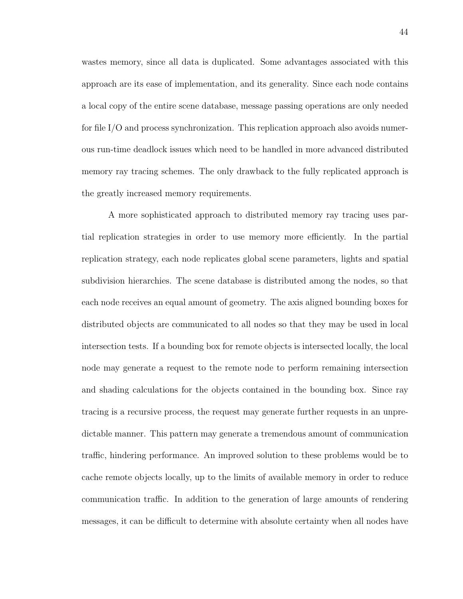wastes memory, since all data is duplicated. Some advantages associated with this approach are its ease of implementation, and its generality. Since each node contains a local copy of the entire scene database, message passing operations are only needed for file I/O and process synchronization. This replication approach also avoids numerous run-time deadlock issues which need to be handled in more advanced distributed memory ray tracing schemes. The only drawback to the fully replicated approach is the greatly increased memory requirements.

A more sophisticated approach to distributed memory ray tracing uses partial replication strategies in order to use memory more efficiently. In the partial replication strategy, each node replicates global scene parameters, lights and spatial subdivision hierarchies. The scene database is distributed among the nodes, so that each node receives an equal amount of geometry. The axis aligned bounding boxes for distributed objects are communicated to all nodes so that they may be used in local intersection tests. If a bounding box for remote objects is intersected locally, the local node may generate a request to the remote node to perform remaining intersection and shading calculations for the objects contained in the bounding box. Since ray tracing is a recursive process, the request may generate further requests in an unpredictable manner. This pattern may generate a tremendous amount of communication traffic, hindering performance. An improved solution to these problems would be to cache remote objects locally, up to the limits of available memory in order to reduce communication traffic. In addition to the generation of large amounts of rendering messages, it can be difficult to determine with absolute certainty when all nodes have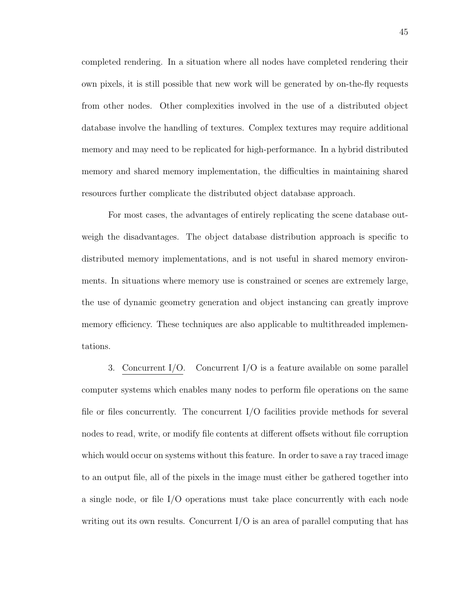completed rendering. In a situation where all nodes have completed rendering their own pixels, it is still possible that new work will be generated by on-the-fly requests from other nodes. Other complexities involved in the use of a distributed object database involve the handling of textures. Complex textures may require additional memory and may need to be replicated for high-performance. In a hybrid distributed memory and shared memory implementation, the difficulties in maintaining shared resources further complicate the distributed object database approach.

For most cases, the advantages of entirely replicating the scene database outweigh the disadvantages. The object database distribution approach is specific to distributed memory implementations, and is not useful in shared memory environments. In situations where memory use is constrained or scenes are extremely large, the use of dynamic geometry generation and object instancing can greatly improve memory efficiency. These techniques are also applicable to multithreaded implementations.

3. Concurrent I/O. Concurrent I/O is a feature available on some parallel computer systems which enables many nodes to perform file operations on the same file or files concurrently. The concurrent I/O facilities provide methods for several nodes to read, write, or modify file contents at different offsets without file corruption which would occur on systems without this feature. In order to save a ray traced image to an output file, all of the pixels in the image must either be gathered together into a single node, or file I/O operations must take place concurrently with each node writing out its own results. Concurrent I/O is an area of parallel computing that has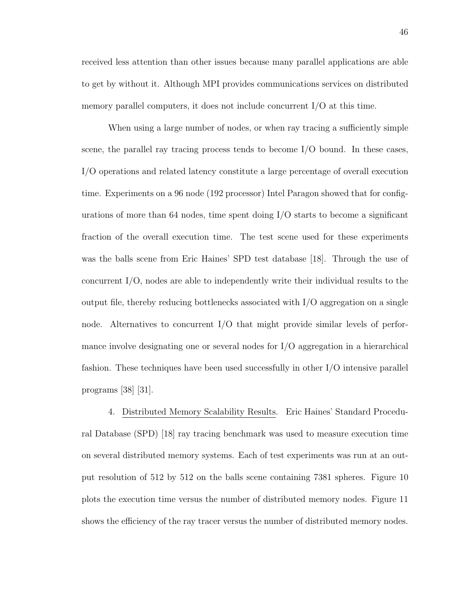received less attention than other issues because many parallel applications are able to get by without it. Although MPI provides communications services on distributed memory parallel computers, it does not include concurrent I/O at this time.

When using a large number of nodes, or when ray tracing a sufficiently simple scene, the parallel ray tracing process tends to become I/O bound. In these cases, I/O operations and related latency constitute a large percentage of overall execution time. Experiments on a 96 node (192 processor) Intel Paragon showed that for configurations of more than 64 nodes, time spent doing  $I/O$  starts to become a significant fraction of the overall execution time. The test scene used for these experiments was the balls scene from Eric Haines' SPD test database [18]. Through the use of concurrent I/O, nodes are able to independently write their individual results to the output file, thereby reducing bottlenecks associated with I/O aggregation on a single node. Alternatives to concurrent I/O that might provide similar levels of performance involve designating one or several nodes for I/O aggregation in a hierarchical fashion. These techniques have been used successfully in other I/O intensive parallel programs [38] [31].

4. Distributed Memory Scalability Results. Eric Haines' Standard Procedural Database (SPD) [18] ray tracing benchmark was used to measure execution time on several distributed memory systems. Each of test experiments was run at an output resolution of 512 by 512 on the balls scene containing 7381 spheres. Figure 10 plots the execution time versus the number of distributed memory nodes. Figure 11 shows the efficiency of the ray tracer versus the number of distributed memory nodes.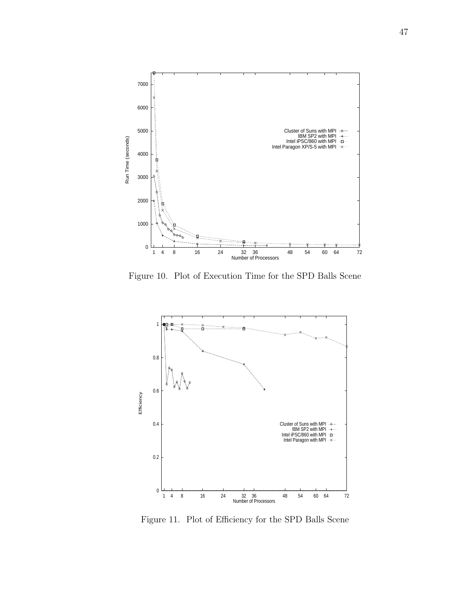

Figure 10. Plot of Execution Time for the SPD Balls Scene



Figure 11. Plot of Efficiency for the SPD Balls Scene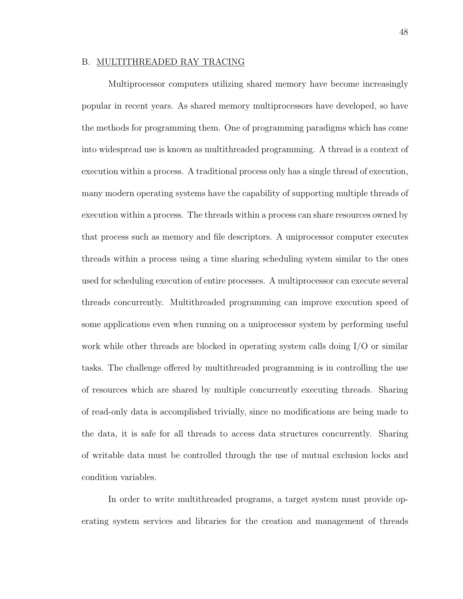## B. MULTITHREADED RAY TRACING

Multiprocessor computers utilizing shared memory have become increasingly popular in recent years. As shared memory multiprocessors have developed, so have the methods for programming them. One of programming paradigms which has come into widespread use is known as multithreaded programming. A thread is a context of execution within a process. A traditional process only has a single thread of execution, many modern operating systems have the capability of supporting multiple threads of execution within a process. The threads within a process can share resources owned by that process such as memory and file descriptors. A uniprocessor computer executes threads within a process using a time sharing scheduling system similar to the ones used for scheduling execution of entire processes. A multiprocessor can execute several threads concurrently. Multithreaded programming can improve execution speed of some applications even when running on a uniprocessor system by performing useful work while other threads are blocked in operating system calls doing I/O or similar tasks. The challenge offered by multithreaded programming is in controlling the use of resources which are shared by multiple concurrently executing threads. Sharing of read-only data is accomplished trivially, since no modifications are being made to the data, it is safe for all threads to access data structures concurrently. Sharing of writable data must be controlled through the use of mutual exclusion locks and condition variables.

In order to write multithreaded programs, a target system must provide operating system services and libraries for the creation and management of threads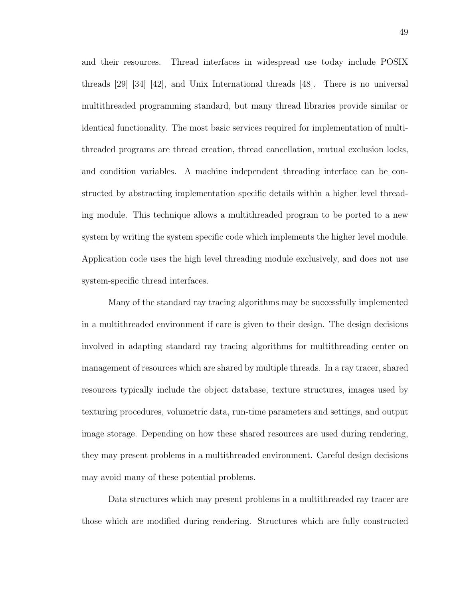and their resources. Thread interfaces in widespread use today include POSIX threads [29] [34] [42], and Unix International threads [48]. There is no universal multithreaded programming standard, but many thread libraries provide similar or identical functionality. The most basic services required for implementation of multithreaded programs are thread creation, thread cancellation, mutual exclusion locks, and condition variables. A machine independent threading interface can be constructed by abstracting implementation specific details within a higher level threading module. This technique allows a multithreaded program to be ported to a new system by writing the system specific code which implements the higher level module. Application code uses the high level threading module exclusively, and does not use system-specific thread interfaces.

Many of the standard ray tracing algorithms may be successfully implemented in a multithreaded environment if care is given to their design. The design decisions involved in adapting standard ray tracing algorithms for multithreading center on management of resources which are shared by multiple threads. In a ray tracer, shared resources typically include the object database, texture structures, images used by texturing procedures, volumetric data, run-time parameters and settings, and output image storage. Depending on how these shared resources are used during rendering, they may present problems in a multithreaded environment. Careful design decisions may avoid many of these potential problems.

Data structures which may present problems in a multithreaded ray tracer are those which are modified during rendering. Structures which are fully constructed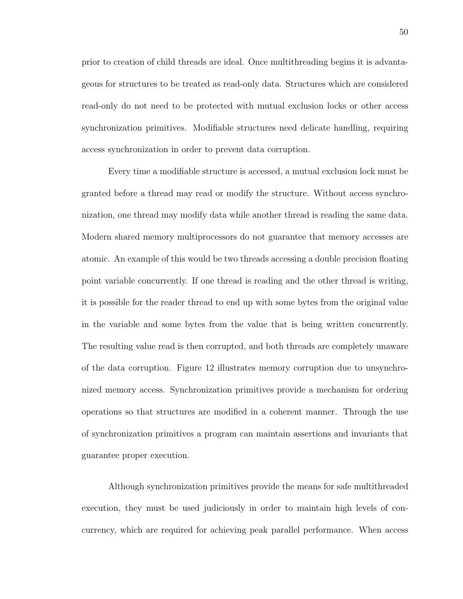prior to creation of child threads are ideal. Once multithreading begins it is advantageous for structures to be treated as read-only data. Structures which are considered read-only do not need to be protected with mutual exclusion locks or other access synchronization primitives. Modifiable structures need delicate handling, requiring access synchronization in order to prevent data corruption.

Every time a modifiable structure is accessed, a mutual exclusion lock must be granted before a thread may read or modify the structure. Without access synchronization, one thread may modify data while another thread is reading the same data. Modern shared memory multiprocessors do not guarantee that memory accesses are atomic. An example of this would be two threads accessing a double precision floating point variable concurrently. If one thread is reading and the other thread is writing, it is possible for the reader thread to end up with some bytes from the original value in the variable and some bytes from the value that is being written concurrently. The resulting value read is then corrupted, and both threads are completely unaware of the data corruption. Figure 12 illustrates memory corruption due to unsynchronized memory access. Synchronization primitives provide a mechanism for ordering operations so that structures are modified in a coherent manner. Through the use of synchronization primitives a program can maintain assertions and invariants that guarantee proper execution.

Although synchronization primitives provide the means for safe multithreaded execution, they must be used judiciously in order to maintain high levels of concurrency, which are required for achieving peak parallel performance. When access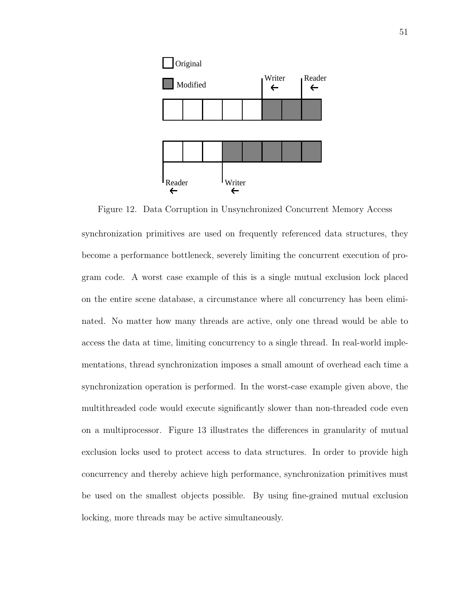

Figure 12. Data Corruption in Unsynchronized Concurrent Memory Access synchronization primitives are used on frequently referenced data structures, they become a performance bottleneck, severely limiting the concurrent execution of program code. A worst case example of this is a single mutual exclusion lock placed on the entire scene database, a circumstance where all concurrency has been eliminated. No matter how many threads are active, only one thread would be able to access the data at time, limiting concurrency to a single thread. In real-world implementations, thread synchronization imposes a small amount of overhead each time a synchronization operation is performed. In the worst-case example given above, the multithreaded code would execute significantly slower than non-threaded code even on a multiprocessor. Figure 13 illustrates the differences in granularity of mutual exclusion locks used to protect access to data structures. In order to provide high concurrency and thereby achieve high performance, synchronization primitives must be used on the smallest objects possible. By using fine-grained mutual exclusion locking, more threads may be active simultaneously.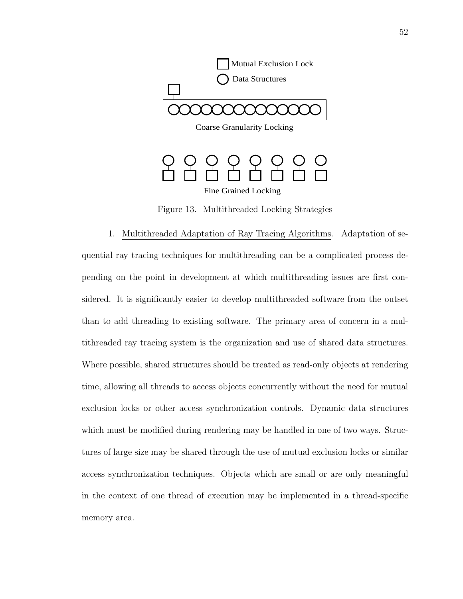

Figure 13. Multithreaded Locking Strategies

1. Multithreaded Adaptation of Ray Tracing Algorithms. Adaptation of sequential ray tracing techniques for multithreading can be a complicated process depending on the point in development at which multithreading issues are first considered. It is significantly easier to develop multithreaded software from the outset than to add threading to existing software. The primary area of concern in a multithreaded ray tracing system is the organization and use of shared data structures. Where possible, shared structures should be treated as read-only objects at rendering time, allowing all threads to access objects concurrently without the need for mutual exclusion locks or other access synchronization controls. Dynamic data structures which must be modified during rendering may be handled in one of two ways. Structures of large size may be shared through the use of mutual exclusion locks or similar access synchronization techniques. Objects which are small or are only meaningful in the context of one thread of execution may be implemented in a thread-specific memory area.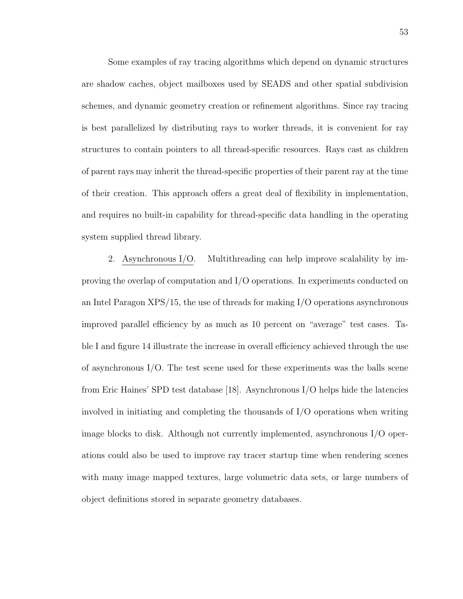Some examples of ray tracing algorithms which depend on dynamic structures are shadow caches, object mailboxes used by SEADS and other spatial subdivision schemes, and dynamic geometry creation or refinement algorithms. Since ray tracing is best parallelized by distributing rays to worker threads, it is convenient for ray structures to contain pointers to all thread-specific resources. Rays cast as children of parent rays may inherit the thread-specific properties of their parent ray at the time of their creation. This approach offers a great deal of flexibility in implementation, and requires no built-in capability for thread-specific data handling in the operating system supplied thread library.

2. Asynchronous I/O. Multithreading can help improve scalability by improving the overlap of computation and I/O operations. In experiments conducted on an Intel Paragon XPS/15, the use of threads for making I/O operations asynchronous improved parallel efficiency by as much as 10 percent on "average" test cases. Table I and figure 14 illustrate the increase in overall efficiency achieved through the use of asynchronous  $I/O$ . The test scene used for these experiments was the balls scene from Eric Haines' SPD test database [18]. Asynchronous I/O helps hide the latencies involved in initiating and completing the thousands of I/O operations when writing image blocks to disk. Although not currently implemented, asynchronous I/O operations could also be used to improve ray tracer startup time when rendering scenes with many image mapped textures, large volumetric data sets, or large numbers of object definitions stored in separate geometry databases.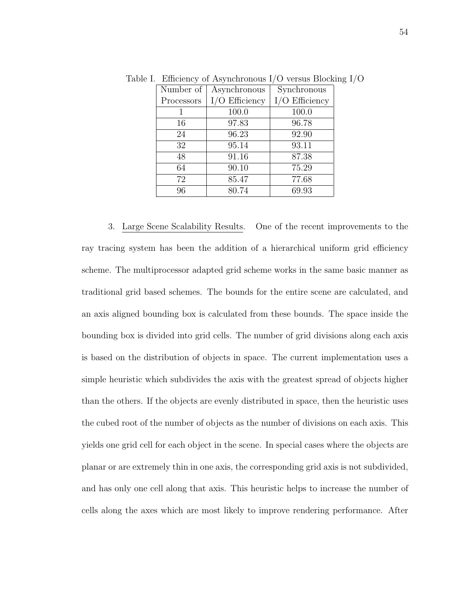| Number of  | Asynchronous     | Synchronous      |
|------------|------------------|------------------|
| Processors | $I/O$ Efficiency | $I/O$ Efficiency |
|            | 100.0            | 100.0            |
| 16         | 97.83            | 96.78            |
| 24         | 96.23            | 92.90            |
| 32         | 95.14            | 93.11            |
| 48         | 91.16            | 87.38            |
| 64         | 90.10            | 75.29            |
| 72         | 85.47            | 77.68            |
| 96         | 80.74            | 69.93            |

Table I. Efficiency of Asynchronous I/O versus Blocking I/O

3. Large Scene Scalability Results. One of the recent improvements to the ray tracing system has been the addition of a hierarchical uniform grid efficiency scheme. The multiprocessor adapted grid scheme works in the same basic manner as traditional grid based schemes. The bounds for the entire scene are calculated, and an axis aligned bounding box is calculated from these bounds. The space inside the bounding box is divided into grid cells. The number of grid divisions along each axis is based on the distribution of objects in space. The current implementation uses a simple heuristic which subdivides the axis with the greatest spread of objects higher than the others. If the objects are evenly distributed in space, then the heuristic uses the cubed root of the number of objects as the number of divisions on each axis. This yields one grid cell for each object in the scene. In special cases where the objects are planar or are extremely thin in one axis, the corresponding grid axis is not subdivided, and has only one cell along that axis. This heuristic helps to increase the number of cells along the axes which are most likely to improve rendering performance. After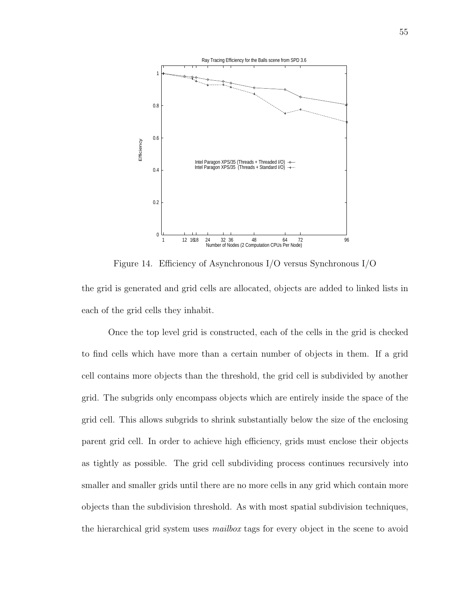

Figure 14. Efficiency of Asynchronous I/O versus Synchronous I/O

the grid is generated and grid cells are allocated, objects are added to linked lists in each of the grid cells they inhabit.

Once the top level grid is constructed, each of the cells in the grid is checked to find cells which have more than a certain number of objects in them. If a grid cell contains more objects than the threshold, the grid cell is subdivided by another grid. The subgrids only encompass objects which are entirely inside the space of the grid cell. This allows subgrids to shrink substantially below the size of the enclosing parent grid cell. In order to achieve high efficiency, grids must enclose their objects as tightly as possible. The grid cell subdividing process continues recursively into smaller and smaller grids until there are no more cells in any grid which contain more objects than the subdivision threshold. As with most spatial subdivision techniques, the hierarchical grid system uses *mailbox* tags for every object in the scene to avoid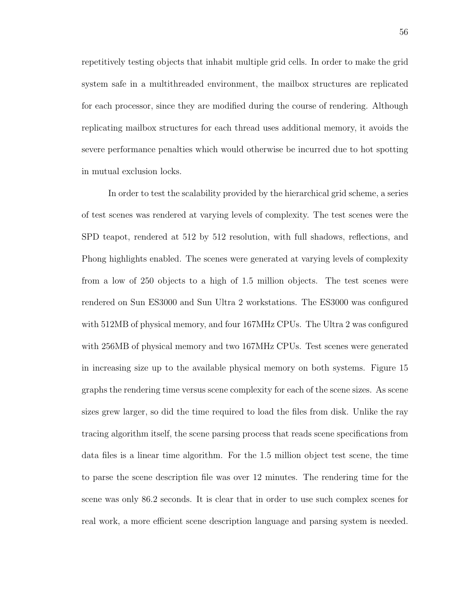repetitively testing objects that inhabit multiple grid cells. In order to make the grid system safe in a multithreaded environment, the mailbox structures are replicated for each processor, since they are modified during the course of rendering. Although replicating mailbox structures for each thread uses additional memory, it avoids the severe performance penalties which would otherwise be incurred due to hot spotting in mutual exclusion locks.

In order to test the scalability provided by the hierarchical grid scheme, a series of test scenes was rendered at varying levels of complexity. The test scenes were the SPD teapot, rendered at 512 by 512 resolution, with full shadows, reflections, and Phong highlights enabled. The scenes were generated at varying levels of complexity from a low of 250 objects to a high of 1.5 million objects. The test scenes were rendered on Sun ES3000 and Sun Ultra 2 workstations. The ES3000 was configured with 512MB of physical memory, and four 167MHz CPUs. The Ultra 2 was configured with 256MB of physical memory and two 167MHz CPUs. Test scenes were generated in increasing size up to the available physical memory on both systems. Figure 15 graphs the rendering time versus scene complexity for each of the scene sizes. As scene sizes grew larger, so did the time required to load the files from disk. Unlike the ray tracing algorithm itself, the scene parsing process that reads scene specifications from data files is a linear time algorithm. For the 1.5 million object test scene, the time to parse the scene description file was over 12 minutes. The rendering time for the scene was only 86.2 seconds. It is clear that in order to use such complex scenes for real work, a more efficient scene description language and parsing system is needed.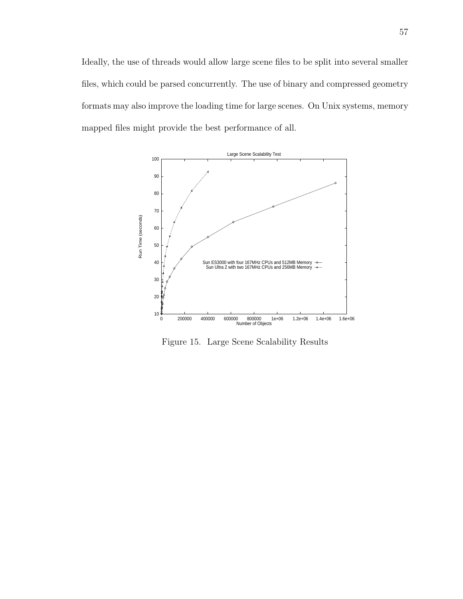Ideally, the use of threads would allow large scene files to be split into several smaller files, which could be parsed concurrently. The use of binary and compressed geometry formats may also improve the loading time for large scenes. On Unix systems, memory mapped files might provide the best performance of all.



Figure 15. Large Scene Scalability Results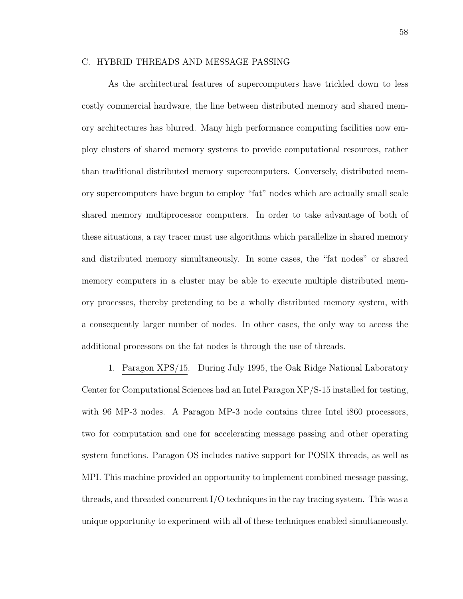## C. HYBRID THREADS AND MESSAGE PASSING

As the architectural features of supercomputers have trickled down to less costly commercial hardware, the line between distributed memory and shared memory architectures has blurred. Many high performance computing facilities now employ clusters of shared memory systems to provide computational resources, rather than traditional distributed memory supercomputers. Conversely, distributed memory supercomputers have begun to employ "fat" nodes which are actually small scale shared memory multiprocessor computers. In order to take advantage of both of these situations, a ray tracer must use algorithms which parallelize in shared memory and distributed memory simultaneously. In some cases, the "fat nodes" or shared memory computers in a cluster may be able to execute multiple distributed memory processes, thereby pretending to be a wholly distributed memory system, with a consequently larger number of nodes. In other cases, the only way to access the additional processors on the fat nodes is through the use of threads.

1. Paragon XPS/15. During July 1995, the Oak Ridge National Laboratory Center for Computational Sciences had an Intel Paragon XP/S-15 installed for testing, with 96 MP-3 nodes. A Paragon MP-3 node contains three Intel i860 processors, two for computation and one for accelerating message passing and other operating system functions. Paragon OS includes native support for POSIX threads, as well as MPI. This machine provided an opportunity to implement combined message passing, threads, and threaded concurrent I/O techniques in the ray tracing system. This was a unique opportunity to experiment with all of these techniques enabled simultaneously.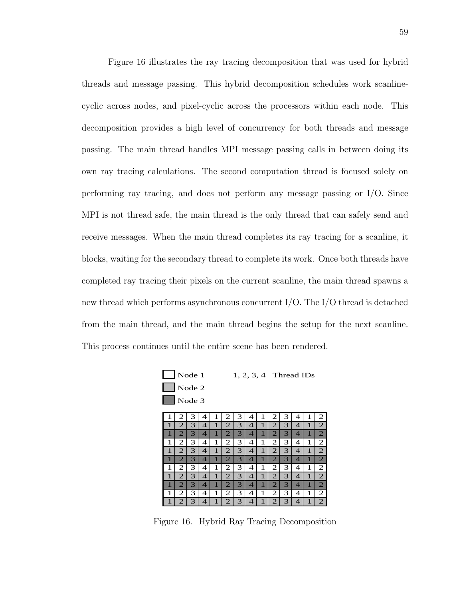Figure 16 illustrates the ray tracing decomposition that was used for hybrid threads and message passing. This hybrid decomposition schedules work scanlinecyclic across nodes, and pixel-cyclic across the processors within each node. This decomposition provides a high level of concurrency for both threads and message passing. The main thread handles MPI message passing calls in between doing its own ray tracing calculations. The second computation thread is focused solely on performing ray tracing, and does not perform any message passing or I/O. Since MPI is not thread safe, the main thread is the only thread that can safely send and receive messages. When the main thread completes its ray tracing for a scanline, it blocks, waiting for the secondary thread to complete its work. Once both threads have completed ray tracing their pixels on the current scanline, the main thread spawns a new thread which performs asynchronous concurrent I/O. The I/O thread is detached from the main thread, and the main thread begins the setup for the next scanline. This process continues until the entire scene has been rendered.



Figure 16. Hybrid Ray Tracing Decomposition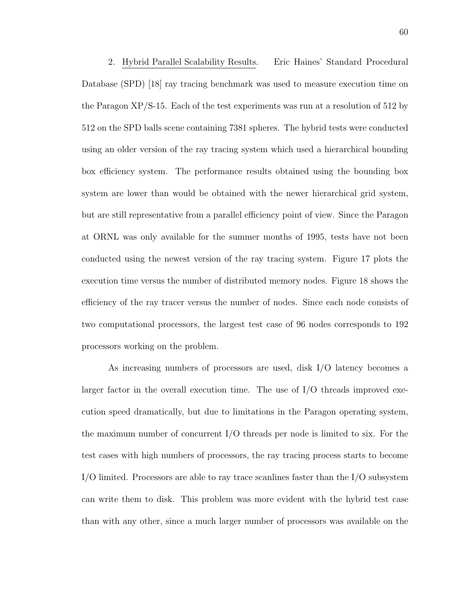2. Hybrid Parallel Scalability Results. Eric Haines' Standard Procedural Database (SPD) [18] ray tracing benchmark was used to measure execution time on the Paragon XP/S-15. Each of the test experiments was run at a resolution of 512 by 512 on the SPD balls scene containing 7381 spheres. The hybrid tests were conducted using an older version of the ray tracing system which used a hierarchical bounding box efficiency system. The performance results obtained using the bounding box system are lower than would be obtained with the newer hierarchical grid system, but are still representative from a parallel efficiency point of view. Since the Paragon at ORNL was only available for the summer months of 1995, tests have not been conducted using the newest version of the ray tracing system. Figure 17 plots the execution time versus the number of distributed memory nodes. Figure 18 shows the efficiency of the ray tracer versus the number of nodes. Since each node consists of two computational processors, the largest test case of 96 nodes corresponds to 192 processors working on the problem.

As increasing numbers of processors are used, disk I/O latency becomes a larger factor in the overall execution time. The use of  $I/O$  threads improved execution speed dramatically, but due to limitations in the Paragon operating system, the maximum number of concurrent I/O threads per node is limited to six. For the test cases with high numbers of processors, the ray tracing process starts to become I/O limited. Processors are able to ray trace scanlines faster than the I/O subsystem can write them to disk. This problem was more evident with the hybrid test case than with any other, since a much larger number of processors was available on the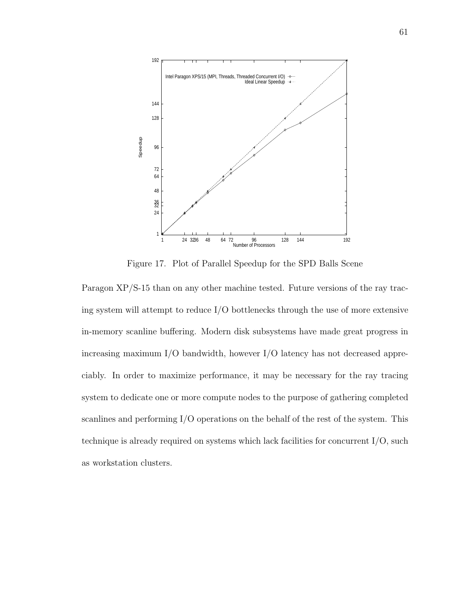

Figure 17. Plot of Parallel Speedup for the SPD Balls Scene

Paragon XP/S-15 than on any other machine tested. Future versions of the ray tracing system will attempt to reduce I/O bottlenecks through the use of more extensive in-memory scanline buffering. Modern disk subsystems have made great progress in increasing maximum I/O bandwidth, however I/O latency has not decreased appreciably. In order to maximize performance, it may be necessary for the ray tracing system to dedicate one or more compute nodes to the purpose of gathering completed scanlines and performing I/O operations on the behalf of the rest of the system. This technique is already required on systems which lack facilities for concurrent I/O, such as workstation clusters.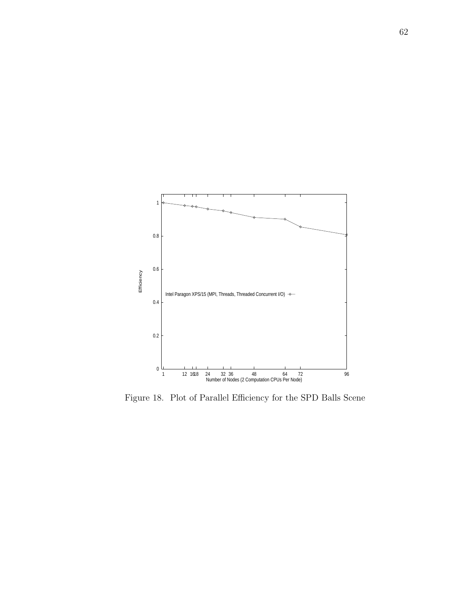

Figure 18. Plot of Parallel Efficiency for the SPD Balls Scene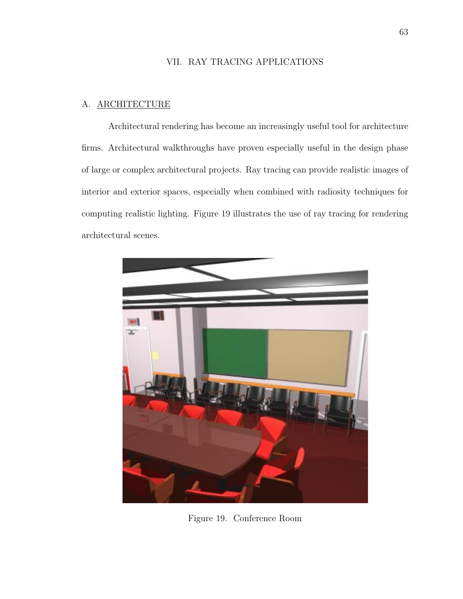# VII. RAY TRACING APPLICATIONS

## A. ARCHITECTURE

Architectural rendering has become an increasingly useful tool for architecture firms. Architectural walkthroughs have proven especially useful in the design phase of large or complex architectural projects. Ray tracing can provide realistic images of interior and exterior spaces, especially when combined with radiosity techniques for computing realistic lighting. Figure 19 illustrates the use of ray tracing for rendering architectural scenes.



Figure 19. Conference Room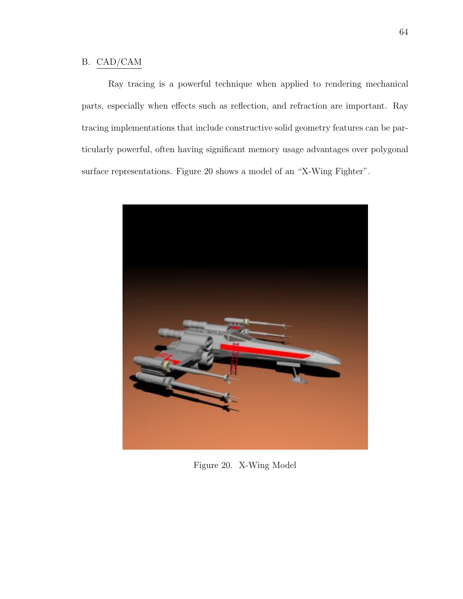# B. CAD/CAM

Ray tracing is a powerful technique when applied to rendering mechanical parts, especially when effects such as reflection, and refraction are important. Ray tracing implementations that include constructive solid geometry features can be particularly powerful, often having significant memory usage advantages over polygonal surface representations. Figure 20 shows a model of an "X-Wing Fighter".



Figure 20. X-Wing Model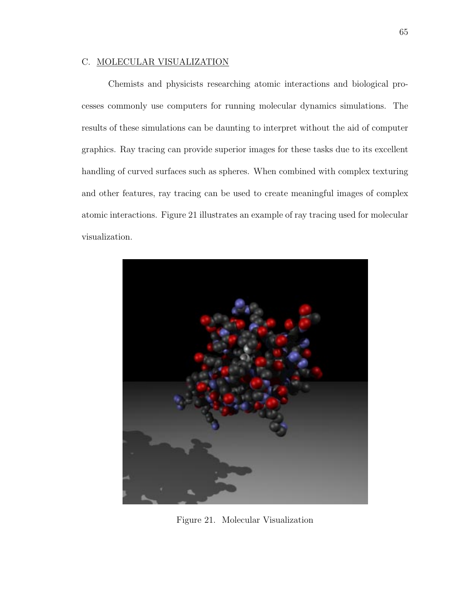### C. MOLECULAR VISUALIZATION

Chemists and physicists researching atomic interactions and biological processes commonly use computers for running molecular dynamics simulations. The results of these simulations can be daunting to interpret without the aid of computer graphics. Ray tracing can provide superior images for these tasks due to its excellent handling of curved surfaces such as spheres. When combined with complex texturing and other features, ray tracing can be used to create meaningful images of complex atomic interactions. Figure 21 illustrates an example of ray tracing used for molecular visualization.



Figure 21. Molecular Visualization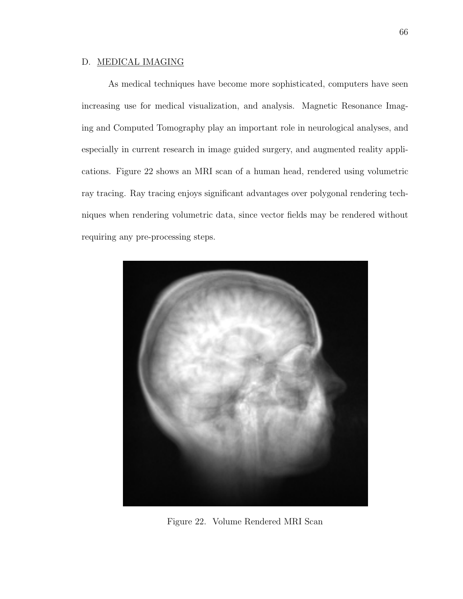# D. MEDICAL IMAGING

As medical techniques have become more sophisticated, computers have seen increasing use for medical visualization, and analysis. Magnetic Resonance Imaging and Computed Tomography play an important role in neurological analyses, and especially in current research in image guided surgery, and augmented reality applications. Figure 22 shows an MRI scan of a human head, rendered using volumetric ray tracing. Ray tracing enjoys significant advantages over polygonal rendering techniques when rendering volumetric data, since vector fields may be rendered without requiring any pre-processing steps.



Figure 22. Volume Rendered MRI Scan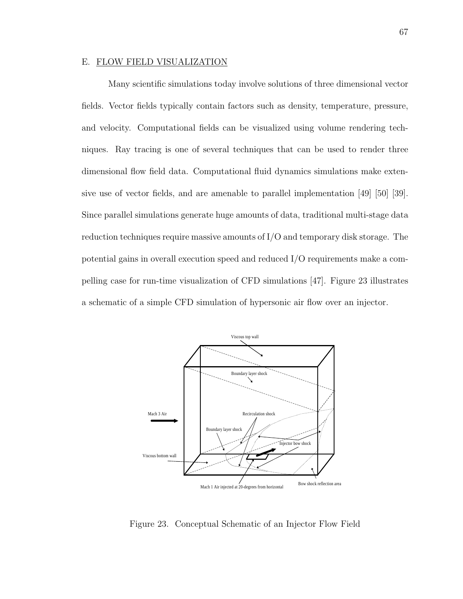### E. FLOW FIELD VISUALIZATION

Many scientific simulations today involve solutions of three dimensional vector fields. Vector fields typically contain factors such as density, temperature, pressure, and velocity. Computational fields can be visualized using volume rendering techniques. Ray tracing is one of several techniques that can be used to render three dimensional flow field data. Computational fluid dynamics simulations make extensive use of vector fields, and are amenable to parallel implementation [49] [50] [39]. Since parallel simulations generate huge amounts of data, traditional multi-stage data reduction techniques require massive amounts of I/O and temporary disk storage. The potential gains in overall execution speed and reduced I/O requirements make a compelling case for run-time visualization of CFD simulations [47]. Figure 23 illustrates a schematic of a simple CFD simulation of hypersonic air flow over an injector.



Figure 23. Conceptual Schematic of an Injector Flow Field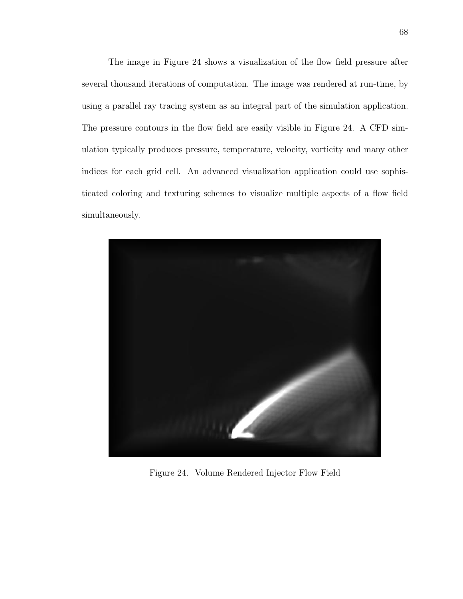The image in Figure 24 shows a visualization of the flow field pressure after several thousand iterations of computation. The image was rendered at run-time, by using a parallel ray tracing system as an integral part of the simulation application. The pressure contours in the flow field are easily visible in Figure 24. A CFD simulation typically produces pressure, temperature, velocity, vorticity and many other indices for each grid cell. An advanced visualization application could use sophisticated coloring and texturing schemes to visualize multiple aspects of a flow field simultaneously.



Figure 24. Volume Rendered Injector Flow Field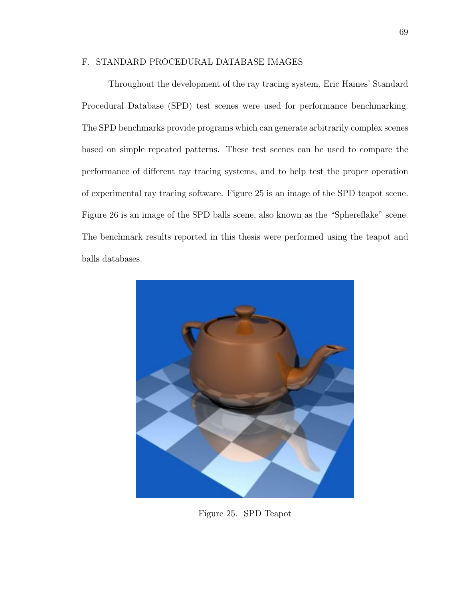### F. STANDARD PROCEDURAL DATABASE IMAGES

Throughout the development of the ray tracing system, Eric Haines' Standard Procedural Database (SPD) test scenes were used for performance benchmarking. The SPD benchmarks provide programs which can generate arbitrarily complex scenes based on simple repeated patterns. These test scenes can be used to compare the performance of different ray tracing systems, and to help test the proper operation of experimental ray tracing software. Figure 25 is an image of the SPD teapot scene. Figure 26 is an image of the SPD balls scene, also known as the "Sphereflake" scene. The benchmark results reported in this thesis were performed using the teapot and balls databases.



Figure 25. SPD Teapot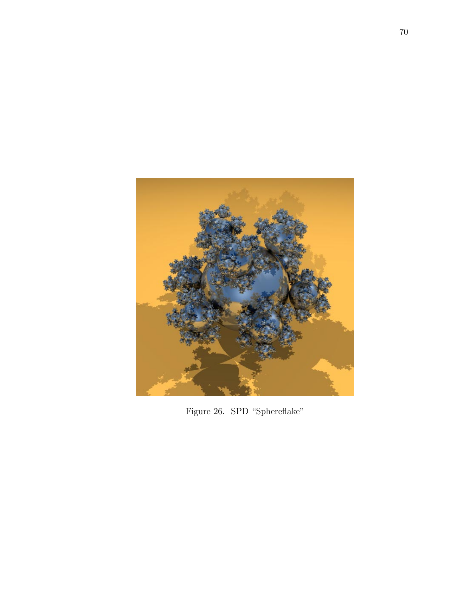

Figure 26. SPD "Sphereflake"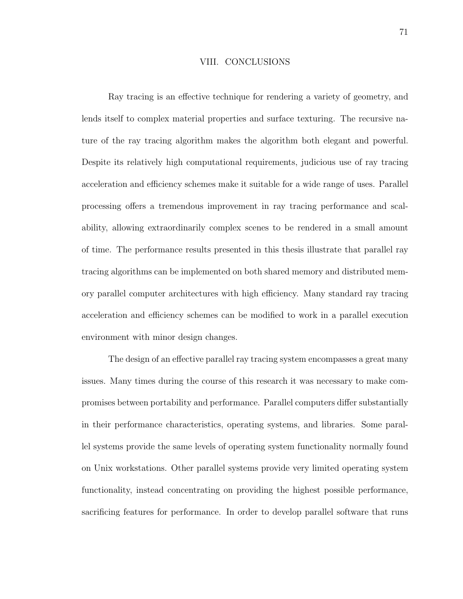### VIII. CONCLUSIONS

Ray tracing is an effective technique for rendering a variety of geometry, and lends itself to complex material properties and surface texturing. The recursive nature of the ray tracing algorithm makes the algorithm both elegant and powerful. Despite its relatively high computational requirements, judicious use of ray tracing acceleration and efficiency schemes make it suitable for a wide range of uses. Parallel processing offers a tremendous improvement in ray tracing performance and scalability, allowing extraordinarily complex scenes to be rendered in a small amount of time. The performance results presented in this thesis illustrate that parallel ray tracing algorithms can be implemented on both shared memory and distributed memory parallel computer architectures with high efficiency. Many standard ray tracing acceleration and efficiency schemes can be modified to work in a parallel execution environment with minor design changes.

The design of an effective parallel ray tracing system encompasses a great many issues. Many times during the course of this research it was necessary to make compromises between portability and performance. Parallel computers differ substantially in their performance characteristics, operating systems, and libraries. Some parallel systems provide the same levels of operating system functionality normally found on Unix workstations. Other parallel systems provide very limited operating system functionality, instead concentrating on providing the highest possible performance, sacrificing features for performance. In order to develop parallel software that runs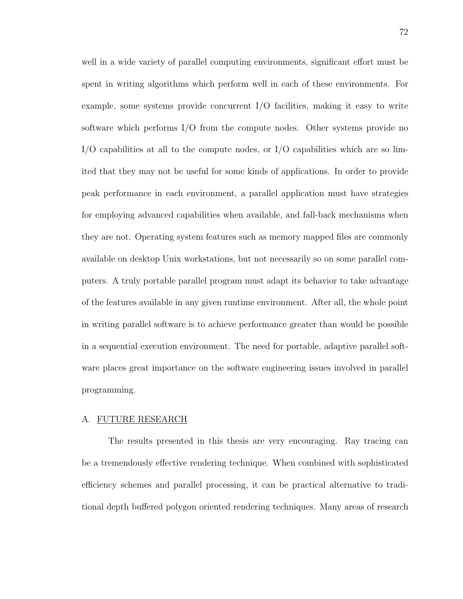well in a wide variety of parallel computing environments, significant effort must be spent in writing algorithms which perform well in each of these environments. For example, some systems provide concurrent I/O facilities, making it easy to write software which performs I/O from the compute nodes. Other systems provide no  $I/O$  capabilities at all to the compute nodes, or  $I/O$  capabilities which are so limited that they may not be useful for some kinds of applications. In order to provide peak performance in each environment, a parallel application must have strategies for employing advanced capabilities when available, and fall-back mechanisms when they are not. Operating system features such as memory mapped files are commonly available on desktop Unix workstations, but not necessarily so on some parallel computers. A truly portable parallel program must adapt its behavior to take advantage of the features available in any given runtime environment. After all, the whole point in writing parallel software is to achieve performance greater than would be possible in a sequential execution environment. The need for portable, adaptive parallel software places great importance on the software engineering issues involved in parallel programming.

#### A. FUTURE RESEARCH

The results presented in this thesis are very encouraging. Ray tracing can be a tremendously effective rendering technique. When combined with sophisticated efficiency schemes and parallel processing, it can be practical alternative to traditional depth buffered polygon oriented rendering techniques. Many areas of research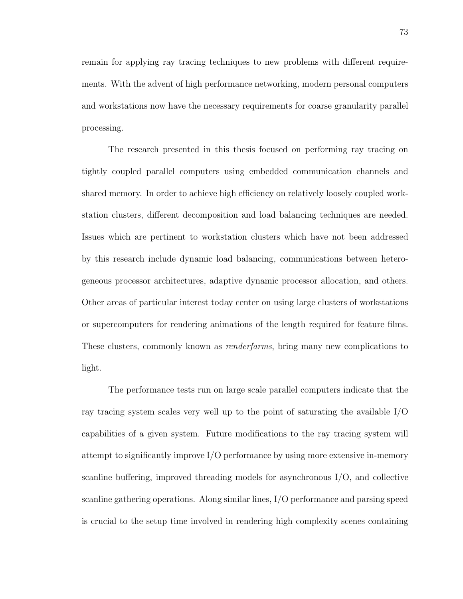remain for applying ray tracing techniques to new problems with different requirements. With the advent of high performance networking, modern personal computers and workstations now have the necessary requirements for coarse granularity parallel processing.

The research presented in this thesis focused on performing ray tracing on tightly coupled parallel computers using embedded communication channels and shared memory. In order to achieve high efficiency on relatively loosely coupled workstation clusters, different decomposition and load balancing techniques are needed. Issues which are pertinent to workstation clusters which have not been addressed by this research include dynamic load balancing, communications between heterogeneous processor architectures, adaptive dynamic processor allocation, and others. Other areas of particular interest today center on using large clusters of workstations or supercomputers for rendering animations of the length required for feature films. These clusters, commonly known as *renderfarms*, bring many new complications to light.

The performance tests run on large scale parallel computers indicate that the ray tracing system scales very well up to the point of saturating the available I/O capabilities of a given system. Future modifications to the ray tracing system will attempt to significantly improve I/O performance by using more extensive in-memory scanline buffering, improved threading models for asynchronous I/O, and collective scanline gathering operations. Along similar lines, I/O performance and parsing speed is crucial to the setup time involved in rendering high complexity scenes containing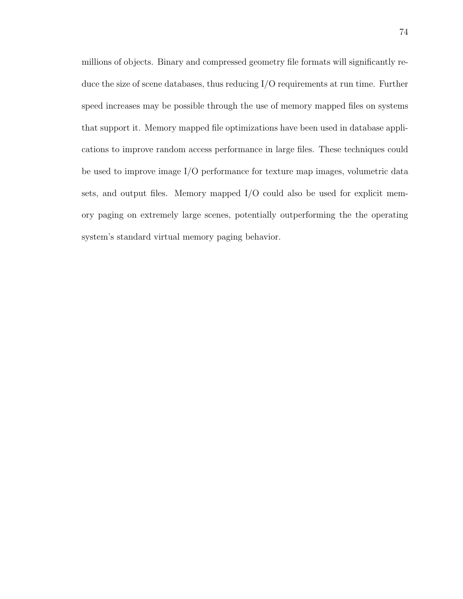millions of objects. Binary and compressed geometry file formats will significantly reduce the size of scene databases, thus reducing I/O requirements at run time. Further speed increases may be possible through the use of memory mapped files on systems that support it. Memory mapped file optimizations have been used in database applications to improve random access performance in large files. These techniques could be used to improve image I/O performance for texture map images, volumetric data sets, and output files. Memory mapped I/O could also be used for explicit memory paging on extremely large scenes, potentially outperforming the the operating system's standard virtual memory paging behavior.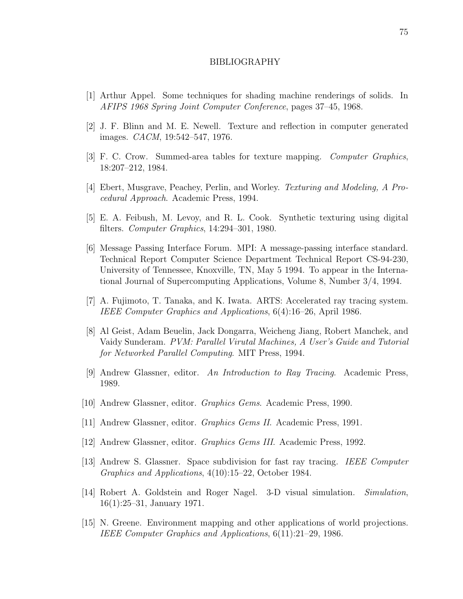#### BIBLIOGRAPHY

- [1] Arthur Appel. Some techniques for shading machine renderings of solids. In AFIPS 1968 Spring Joint Computer Conference, pages 37–45, 1968.
- [2] J. F. Blinn and M. E. Newell. Texture and reflection in computer generated images. CACM, 19:542–547, 1976.
- [3] F. C. Crow. Summed-area tables for texture mapping. Computer Graphics, 18:207–212, 1984.
- [4] Ebert, Musgrave, Peachey, Perlin, and Worley. Texturing and Modeling, A Procedural Approach. Academic Press, 1994.
- [5] E. A. Feibush, M. Levoy, and R. L. Cook. Synthetic texturing using digital filters. Computer Graphics, 14:294–301, 1980.
- [6] Message Passing Interface Forum. MPI: A message-passing interface standard. Technical Report Computer Science Department Technical Report CS-94-230, University of Tennessee, Knoxville, TN, May 5 1994. To appear in the International Journal of Supercomputing Applications, Volume 8, Number 3/4, 1994.
- [7] A. Fujimoto, T. Tanaka, and K. Iwata. ARTS: Accelerated ray tracing system. IEEE Computer Graphics and Applications, 6(4):16–26, April 1986.
- [8] Al Geist, Adam Beuelin, Jack Dongarra, Weicheng Jiang, Robert Manchek, and Vaidy Sunderam. PVM: Parallel Virutal Machines, A User's Guide and Tutorial for Networked Parallel Computing. MIT Press, 1994.
- [9] Andrew Glassner, editor. An Introduction to Ray Tracing. Academic Press, 1989.
- [10] Andrew Glassner, editor. Graphics Gems. Academic Press, 1990.
- [11] Andrew Glassner, editor. Graphics Gems II. Academic Press, 1991.
- [12] Andrew Glassner, editor. Graphics Gems III. Academic Press, 1992.
- [13] Andrew S. Glassner. Space subdivision for fast ray tracing. IEEE Computer Graphics and Applications, 4(10):15–22, October 1984.
- [14] Robert A. Goldstein and Roger Nagel. 3-D visual simulation. Simulation, 16(1):25–31, January 1971.
- [15] N. Greene. Environment mapping and other applications of world projections. IEEE Computer Graphics and Applications, 6(11):21–29, 1986.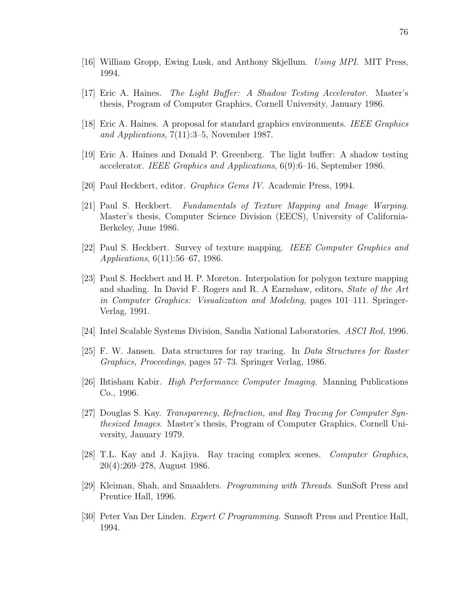- [16] William Gropp, Ewing Lusk, and Anthony Skjellum. Using MPI. MIT Press, 1994.
- [17] Eric A. Haines. The Light Buffer: A Shadow Testing Accelerator. Master's thesis, Program of Computer Graphics, Cornell University, January 1986.
- [18] Eric A. Haines. A proposal for standard graphics environments. IEEE Graphics and Applications, 7(11):3–5, November 1987.
- [19] Eric A. Haines and Donald P. Greenberg. The light buffer: A shadow testing accelerator. IEEE Graphics and Applications, 6(9):6–16, September 1986.
- [20] Paul Heckbert, editor. Graphics Gems IV. Academic Press, 1994.
- [21] Paul S. Heckbert. Fundamentals of Texture Mapping and Image Warping. Master's thesis, Computer Science Division (EECS), University of California-Berkeley, June 1986.
- [22] Paul S. Heckbert. Survey of texture mapping. IEEE Computer Graphics and Applications, 6(11):56–67, 1986.
- [23] Paul S. Heckbert and H. P. Moreton. Interpolation for polygon texture mapping and shading. In David F. Rogers and R. A Earnshaw, editors, State of the Art in Computer Graphics: Visualization and Modeling, pages 101–111. Springer-Verlag, 1991.
- [24] Intel Scalable Systems Division, Sandia National Laboratories. ASCI Red, 1996.
- [25] F. W. Jansen. Data structures for ray tracing. In Data Structures for Raster Graphics, Proceedings, pages 57–73. Springer Verlag, 1986.
- [26] Ihtisham Kabir. High Performance Computer Imaging. Manning Publications Co., 1996.
- [27] Douglas S. Kay. Transparency, Refraction, and Ray Tracing for Computer Synthesized Images. Master's thesis, Program of Computer Graphics, Cornell University, January 1979.
- [28] T.L. Kay and J. Kajiya. Ray tracing complex scenes. Computer Graphics, 20(4):269–278, August 1986.
- [29] Kleiman, Shah, and Smaalders. Programming with Threads. SunSoft Press and Prentice Hall, 1996.
- [30] Peter Van Der Linden. Expert C Programming. Sunsoft Press and Prentice Hall, 1994.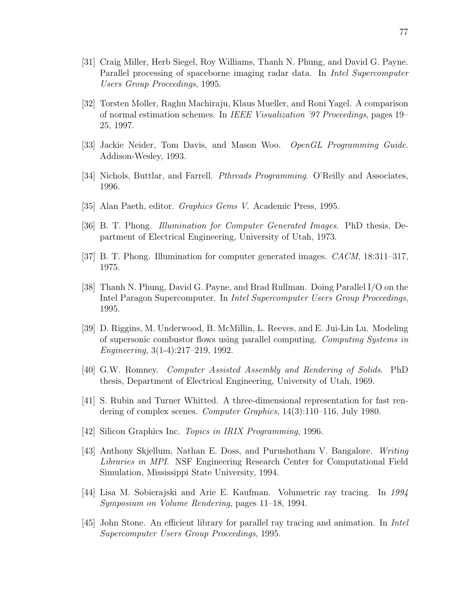- [31] Craig Miller, Herb Siegel, Roy Williams, Thanh N. Phung, and David G. Payne. Parallel processing of spaceborne imaging radar data. In *Intel Supercomputer* Users Group Proceedings, 1995.
- [32] Torsten Moller, Raghu Machiraju, Klaus Mueller, and Roni Yagel. A comparison of normal estimation schemes. In IEEE Visualization '97 Proceedings, pages 19– 25, 1997.
- [33] Jackie Neider, Tom Davis, and Mason Woo. OpenGL Programming Guide. Addison-Wesley, 1993.
- [34] Nichols, Buttlar, and Farrell. Pthreads Programming. O'Reilly and Associates, 1996.
- [35] Alan Paeth, editor. Graphics Gems V. Academic Press, 1995.
- [36] B. T. Phong. Illumination for Computer Generated Images. PhD thesis, Department of Electrical Engineering, University of Utah, 1973.
- [37] B. T. Phong. Illumination for computer generated images. CACM, 18:311–317, 1975.
- [38] Thanh N. Phung, David G. Payne, and Brad Rullman. Doing Parallel I/O on the Intel Paragon Supercomputer. In Intel Supercomputer Users Group Proceedings, 1995.
- [39] D. Riggins, M. Underwood, B. McMillin, L. Reeves, and E. Jui-Lin Lu. Modeling of supersonic combustor flows using parallel computing. Computing Systems in Engineering, 3(1-4):217–219, 1992.
- [40] G.W. Romney. Computer Assisted Assembly and Rendering of Solids. PhD thesis, Department of Electrical Engineering, University of Utah, 1969.
- [41] S. Rubin and Turner Whitted. A three-dimensional representation for fast rendering of complex scenes. Computer Graphics, 14(3):110–116, July 1980.
- [42] Silicon Graphics Inc. *Topics in IRIX Programming*, 1996.
- [43] Anthony Skjellum, Nathan E. Doss, and Purushotham V. Bangalore. Writing Libraries in MPI. NSF Engineering Research Center for Computational Field Simulation, Mississippi State University, 1994.
- [44] Lisa M. Sobierajski and Arie E. Kaufman. Volumetric ray tracing. In 1994 Symposium on Volume Rendering, pages 11–18, 1994.
- [45] John Stone. An efficient library for parallel ray tracing and animation. In Intel Supercomputer Users Group Proceedings, 1995.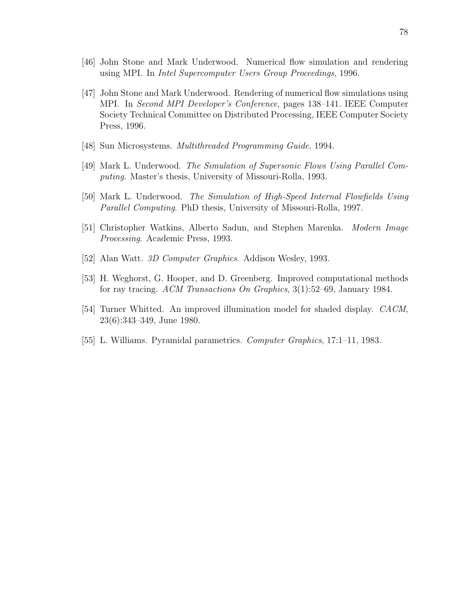- [46] John Stone and Mark Underwood. Numerical flow simulation and rendering using MPI. In Intel Supercomputer Users Group Proceedings, 1996.
- [47] John Stone and Mark Underwood. Rendering of numerical flow simulations using MPI. In Second MPI Developer's Conference, pages 138–141. IEEE Computer Society Technical Committee on Distributed Processing, IEEE Computer Society Press, 1996.
- [48] Sun Microsystems. Multithreaded Programming Guide, 1994.
- [49] Mark L. Underwood. The Simulation of Supersonic Flows Using Parallel Computing. Master's thesis, University of Missouri-Rolla, 1993.
- [50] Mark L. Underwood. The Simulation of High-Speed Internal Flowfields Using Parallel Computing. PhD thesis, University of Missouri-Rolla, 1997.
- [51] Christopher Watkins, Alberto Sadun, and Stephen Marenka. Modern Image Processing. Academic Press, 1993.
- [52] Alan Watt. 3D Computer Graphics. Addison Wesley, 1993.
- [53] H. Weghorst, G. Hooper, and D. Greenberg. Improved computational methods for ray tracing. ACM Transactions On Graphics, 3(1):52–69, January 1984.
- [54] Turner Whitted. An improved illumination model for shaded display. CACM, 23(6):343–349, June 1980.
- [55] L. Williams. Pyramidal parametrics. Computer Graphics, 17:1–11, 1983.